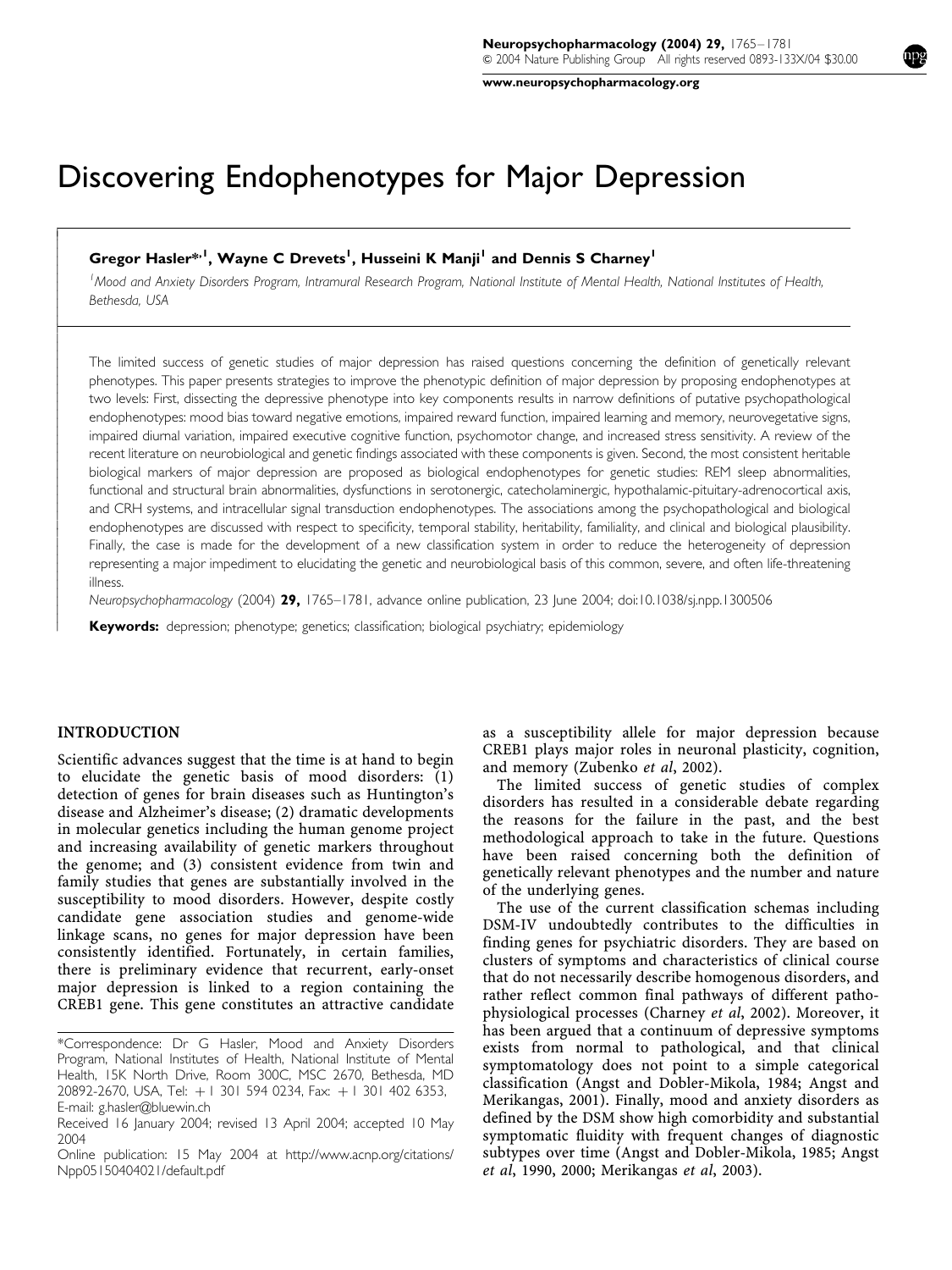www.neuropsychopharmacology.org

# Discovering Endophenotypes for Major Depression

## Gregor Hasler\*<sup>, I</sup>, Wayne C Drevets<sup>1</sup>, Husseini K Manji<sup>1</sup> and Dennis S Charney<sup>1</sup>

<sup>1</sup> Mood and Anxiety Disorders Program, Intramural Research Program, National Institute of Mental Health, National Institutes of Health, Bethesda, USA

The limited success of genetic studies of major depression has raised questions concerning the definition of genetically relevant phenotypes. This paper presents strategies to improve the phenotypic definition of major depression by proposing endophenotypes at two levels: First, dissecting the depressive phenotype into key components results in narrow definitions of putative psychopathological endophenotypes: mood bias toward negative emotions, impaired reward function, impaired learning and memory, neurovegetative signs, impaired diurnal variation, impaired executive cognitive function, psychomotor change, and increased stress sensitivity. A review of the recent literature on neurobiological and genetic findings associated with these components is given. Second, the most consistent heritable biological markers of major depression are proposed as biological endophenotypes for genetic studies: REM sleep abnormalities, functional and structural brain abnormalities, dysfunctions in serotonergic, catecholaminergic, hypothalamic-pituitary-adrenocortical axis, and CRH systems, and intracellular signal transduction endophenotypes. The associations among the psychopathological and biological endophenotypes are discussed with respect to specificity, temporal stability, heritability, familiality, and clinical and biological plausibility. Finally, the case is made for the development of a new classification system in order to reduce the heterogeneity of depression representing a major impediment to elucidating the genetic and neurobiological basis of this common, severe, and often life-threatening illness.

Neuropsychopharmacology (2004) 29, 1765–1781, advance online publication, 23 June 2004; doi:10.1038/sj.npp.1300506

Keywords: depression; phenotype; genetics; classification; biological psychiatry; epidemiology

#### INTRODUCTION

 $\overline{1}$  $\overline{1}$  $\overline{1}$  $\overline{\phantom{a}}$  $\overline{\phantom{a}}$  $\bigg\}$  $\bigg\}$  $\overline{\phantom{a}}$  $\overline{\phantom{a}}$  $\overline{\phantom{a}}$  $\overline{\phantom{a}}$  $\bigg\}$ ŀ ſ  $\overline{\phantom{a}}$  $\overline{\phantom{a}}$  $\bigg\}$  $\bigg\}$  $\overline{\phantom{a}}$  $\overline{\phantom{a}}$  $\overline{\phantom{a}}$  $\overline{\phantom{a}}$  $\bigg\}$  $\overline{\phantom{a}}$  $\overline{\phantom{a}}$  $\overline{\phantom{a}}$  $\overline{\phantom{a}}$  $\bigg\}$  $\bigg\}$  $\overline{\phantom{a}}$  $\overline{\phantom{a}}$  $\overline{\phantom{a}}$  $\overline{\phantom{a}}$  $\bigg\}$  $\bigg\}$  $\overline{\phantom{a}}$  $\overline{\phantom{a}}$  $\overline{\phantom{a}}$  $\overline{\phantom{a}}$  $\bigg\}$  $\overline{\phantom{a}}$  $\overline{\phantom{a}}$  $\overline{\phantom{a}}$  $\overline{\phantom{a}}$  $\bigg\}$  $\bigg\}$  $\overline{\phantom{a}}$  $\overline{\phantom{a}}$ 

Scientific advances suggest that the time is at hand to begin to elucidate the genetic basis of mood disorders: (1) detection of genes for brain diseases such as Huntington's disease and Alzheimer's disease; (2) dramatic developments in molecular genetics including the human genome project and increasing availability of genetic markers throughout the genome; and (3) consistent evidence from twin and family studies that genes are substantially involved in the susceptibility to mood disorders. However, despite costly candidate gene association studies and genome-wide linkage scans, no genes for major depression have been consistently identified. Fortunately, in certain families, there is preliminary evidence that recurrent, early-onset major depression is linked to a region containing the CREB1 gene. This gene constitutes an attractive candidate as a susceptibility allele for major depression because CREB1 plays major roles in neuronal plasticity, cognition, and memory (Zubenko et al, 2002).

The limited success of genetic studies of complex disorders has resulted in a considerable debate regarding the reasons for the failure in the past, and the best methodological approach to take in the future. Questions have been raised concerning both the definition of genetically relevant phenotypes and the number and nature of the underlying genes.

The use of the current classification schemas including DSM-IV undoubtedly contributes to the difficulties in finding genes for psychiatric disorders. They are based on clusters of symptoms and characteristics of clinical course that do not necessarily describe homogenous disorders, and rather reflect common final pathways of different pathophysiological processes (Charney et al, 2002). Moreover, it has been argued that a continuum of depressive symptoms exists from normal to pathological, and that clinical symptomatology does not point to a simple categorical classification (Angst and Dobler-Mikola, 1984; Angst and Merikangas, 2001). Finally, mood and anxiety disorders as defined by the DSM show high comorbidity and substantial symptomatic fluidity with frequent changes of diagnostic subtypes over time (Angst and Dobler-Mikola, 1985; Angst et al, 1990, 2000; Merikangas et al, 2003).

<sup>\*</sup>Correspondence: Dr G Hasler, Mood and Anxiety Disorders Program, National Institutes of Health, National Institute of Mental Health, 15K North Drive, Room 300C, MSC 2670, Bethesda, MD 20892-2670, USA, Tel: + 1 301 594 0234, Fax: + 1 301 402 6353, E-mail: g.hasler@bluewin.ch

Received 16 January 2004; revised 13 April 2004; accepted 10 May 2004

Online publication: 15 May 2004 at http://www.acnp.org/citations/ Npp05150404021/default.pdf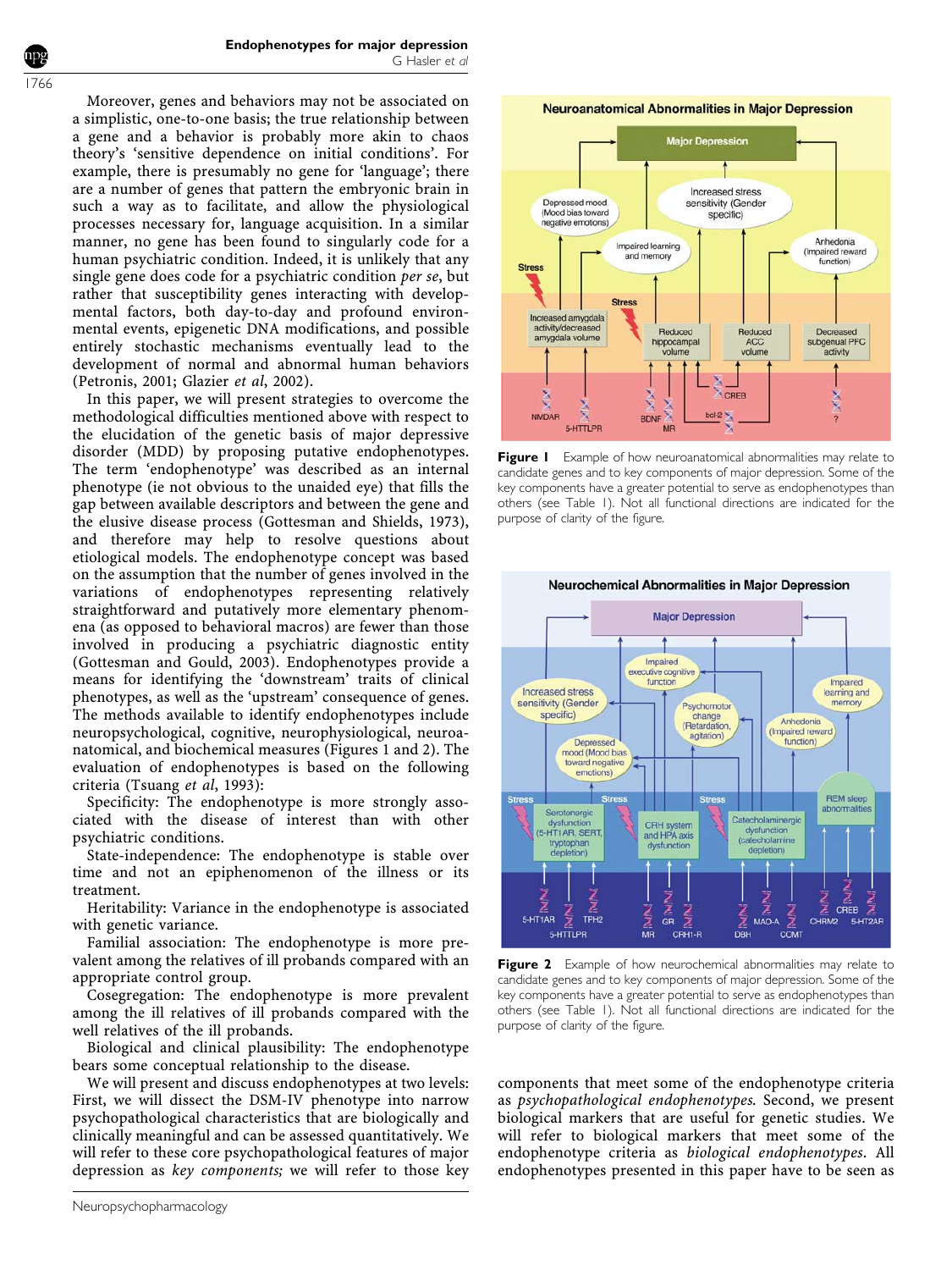Moreover, genes and behaviors may not be associated on a simplistic, one-to-one basis; the true relationship between a gene and a behavior is probably more akin to chaos theory's 'sensitive dependence on initial conditions'. For example, there is presumably no gene for 'language'; there are a number of genes that pattern the embryonic brain in such a way as to facilitate, and allow the physiological processes necessary for, language acquisition. In a similar manner, no gene has been found to singularly code for a human psychiatric condition. Indeed, it is unlikely that any single gene does code for a psychiatric condition per se, but rather that susceptibility genes interacting with developmental factors, both day-to-day and profound environmental events, epigenetic DNA modifications, and possible entirely stochastic mechanisms eventually lead to the development of normal and abnormal human behaviors (Petronis, 2001; Glazier et al, 2002).

In this paper, we will present strategies to overcome the methodological difficulties mentioned above with respect to the elucidation of the genetic basis of major depressive disorder (MDD) by proposing putative endophenotypes. The term 'endophenotype' was described as an internal phenotype (ie not obvious to the unaided eye) that fills the gap between available descriptors and between the gene and the elusive disease process (Gottesman and Shields, 1973), and therefore may help to resolve questions about etiological models. The endophenotype concept was based on the assumption that the number of genes involved in the variations of endophenotypes representing relatively straightforward and putatively more elementary phenomena (as opposed to behavioral macros) are fewer than those involved in producing a psychiatric diagnostic entity (Gottesman and Gould, 2003). Endophenotypes provide a means for identifying the 'downstream' traits of clinical phenotypes, as well as the 'upstream' consequence of genes. The methods available to identify endophenotypes include neuropsychological, cognitive, neurophysiological, neuroanatomical, and biochemical measures (Figures 1 and 2). The evaluation of endophenotypes is based on the following criteria (Tsuang et al, 1993):

Specificity: The endophenotype is more strongly associated with the disease of interest than with other psychiatric conditions.

State-independence: The endophenotype is stable over time and not an epiphenomenon of the illness or its treatment.

Heritability: Variance in the endophenotype is associated with genetic variance.

Familial association: The endophenotype is more prevalent among the relatives of ill probands compared with an appropriate control group.

Cosegregation: The endophenotype is more prevalent among the ill relatives of ill probands compared with the well relatives of the ill probands.

Biological and clinical plausibility: The endophenotype bears some conceptual relationship to the disease.

We will present and discuss endophenotypes at two levels: First, we will dissect the DSM-IV phenotype into narrow psychopathological characteristics that are biologically and clinically meaningful and can be assessed quantitatively. We will refer to these core psychopathological features of major depression as key components; we will refer to those key





Figure I Example of how neuroanatomical abnormalities may relate to candidate genes and to key components of major depression. Some of the key components have a greater potential to serve as endophenotypes than others (see Table 1). Not all functional directions are indicated for the purpose of clarity of the figure.



Figure 2 Example of how neurochemical abnormalities may relate to candidate genes and to key components of major depression. Some of the key components have a greater potential to serve as endophenotypes than others (see Table 1). Not all functional directions are indicated for the purpose of clarity of the figure.

components that meet some of the endophenotype criteria as psychopathological endophenotypes. Second, we present biological markers that are useful for genetic studies. We will refer to biological markers that meet some of the endophenotype criteria as biological endophenotypes. All endophenotypes presented in this paper have to be seen as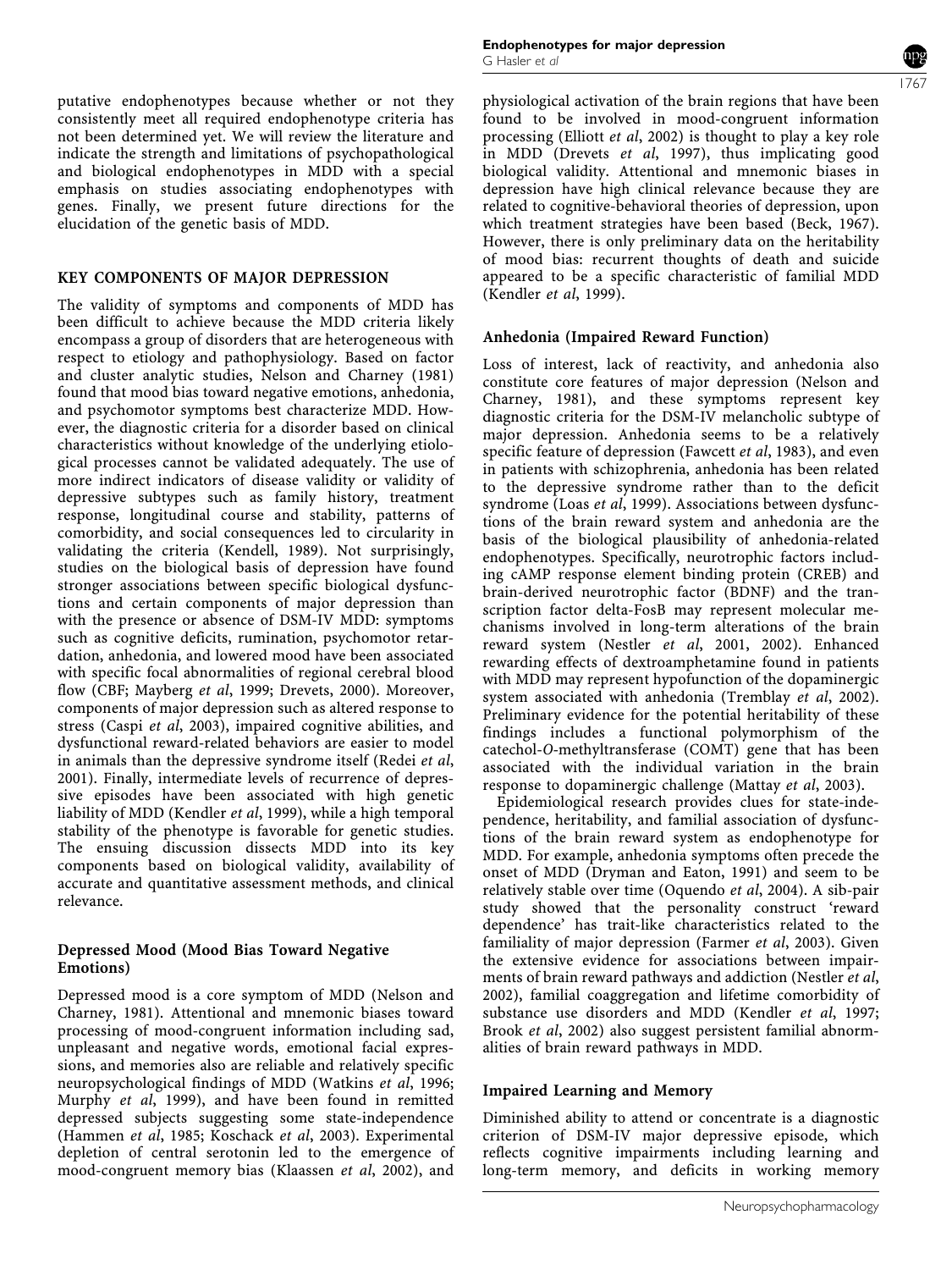putative endophenotypes because whether or not they consistently meet all required endophenotype criteria has not been determined yet. We will review the literature and indicate the strength and limitations of psychopathological and biological endophenotypes in MDD with a special emphasis on studies associating endophenotypes with genes. Finally, we present future directions for the elucidation of the genetic basis of MDD.

#### KEY COMPONENTS OF MAJOR DEPRESSION

The validity of symptoms and components of MDD has been difficult to achieve because the MDD criteria likely encompass a group of disorders that are heterogeneous with respect to etiology and pathophysiology. Based on factor and cluster analytic studies, Nelson and Charney (1981) found that mood bias toward negative emotions, anhedonia, and psychomotor symptoms best characterize MDD. However, the diagnostic criteria for a disorder based on clinical characteristics without knowledge of the underlying etiological processes cannot be validated adequately. The use of more indirect indicators of disease validity or validity of depressive subtypes such as family history, treatment response, longitudinal course and stability, patterns of comorbidity, and social consequences led to circularity in validating the criteria (Kendell, 1989). Not surprisingly, studies on the biological basis of depression have found stronger associations between specific biological dysfunctions and certain components of major depression than with the presence or absence of DSM-IV MDD: symptoms such as cognitive deficits, rumination, psychomotor retardation, anhedonia, and lowered mood have been associated with specific focal abnormalities of regional cerebral blood flow (CBF; Mayberg et al, 1999; Drevets, 2000). Moreover, components of major depression such as altered response to stress (Caspi et al, 2003), impaired cognitive abilities, and dysfunctional reward-related behaviors are easier to model in animals than the depressive syndrome itself (Redei et al, 2001). Finally, intermediate levels of recurrence of depressive episodes have been associated with high genetic liability of MDD (Kendler et al, 1999), while a high temporal stability of the phenotype is favorable for genetic studies. The ensuing discussion dissects MDD into its key components based on biological validity, availability of accurate and quantitative assessment methods, and clinical relevance.

#### Depressed Mood (Mood Bias Toward Negative Emotions)

Depressed mood is a core symptom of MDD (Nelson and Charney, 1981). Attentional and mnemonic biases toward processing of mood-congruent information including sad, unpleasant and negative words, emotional facial expressions, and memories also are reliable and relatively specific neuropsychological findings of MDD (Watkins et al, 1996; Murphy et al, 1999), and have been found in remitted depressed subjects suggesting some state-independence (Hammen et al, 1985; Koschack et al, 2003). Experimental depletion of central serotonin led to the emergence of mood-congruent memory bias (Klaassen et al, 2002), and

physiological activation of the brain regions that have been found to be involved in mood-congruent information processing (Elliott et al, 2002) is thought to play a key role in MDD (Drevets et al, 1997), thus implicating good biological validity. Attentional and mnemonic biases in depression have high clinical relevance because they are related to cognitive-behavioral theories of depression, upon which treatment strategies have been based (Beck, 1967). However, there is only preliminary data on the heritability of mood bias: recurrent thoughts of death and suicide appeared to be a specific characteristic of familial MDD (Kendler et al, 1999).

# Anhedonia (Impaired Reward Function)

Loss of interest, lack of reactivity, and anhedonia also constitute core features of major depression (Nelson and Charney, 1981), and these symptoms represent key diagnostic criteria for the DSM-IV melancholic subtype of major depression. Anhedonia seems to be a relatively specific feature of depression (Fawcett et al, 1983), and even in patients with schizophrenia, anhedonia has been related to the depressive syndrome rather than to the deficit syndrome (Loas et al, 1999). Associations between dysfunctions of the brain reward system and anhedonia are the basis of the biological plausibility of anhedonia-related endophenotypes. Specifically, neurotrophic factors including cAMP response element binding protein (CREB) and brain-derived neurotrophic factor (BDNF) and the transcription factor delta-FosB may represent molecular mechanisms involved in long-term alterations of the brain reward system (Nestler et al, 2001, 2002). Enhanced rewarding effects of dextroamphetamine found in patients with MDD may represent hypofunction of the dopaminergic system associated with anhedonia (Tremblay *et al*, 2002). Preliminary evidence for the potential heritability of these findings includes a functional polymorphism of the catechol-O-methyltransferase (COMT) gene that has been associated with the individual variation in the brain response to dopaminergic challenge (Mattay et al, 2003).

Epidemiological research provides clues for state-independence, heritability, and familial association of dysfunctions of the brain reward system as endophenotype for MDD. For example, anhedonia symptoms often precede the onset of MDD (Dryman and Eaton, 1991) and seem to be relatively stable over time (Oquendo et al, 2004). A sib-pair study showed that the personality construct 'reward dependence' has trait-like characteristics related to the familiality of major depression (Farmer et al, 2003). Given the extensive evidence for associations between impairments of brain reward pathways and addiction (Nestler et al, 2002), familial coaggregation and lifetime comorbidity of substance use disorders and MDD (Kendler et al, 1997; Brook et al, 2002) also suggest persistent familial abnormalities of brain reward pathways in MDD.

# Impaired Learning and Memory

Diminished ability to attend or concentrate is a diagnostic criterion of DSM-IV major depressive episode, which reflects cognitive impairments including learning and long-term memory, and deficits in working memory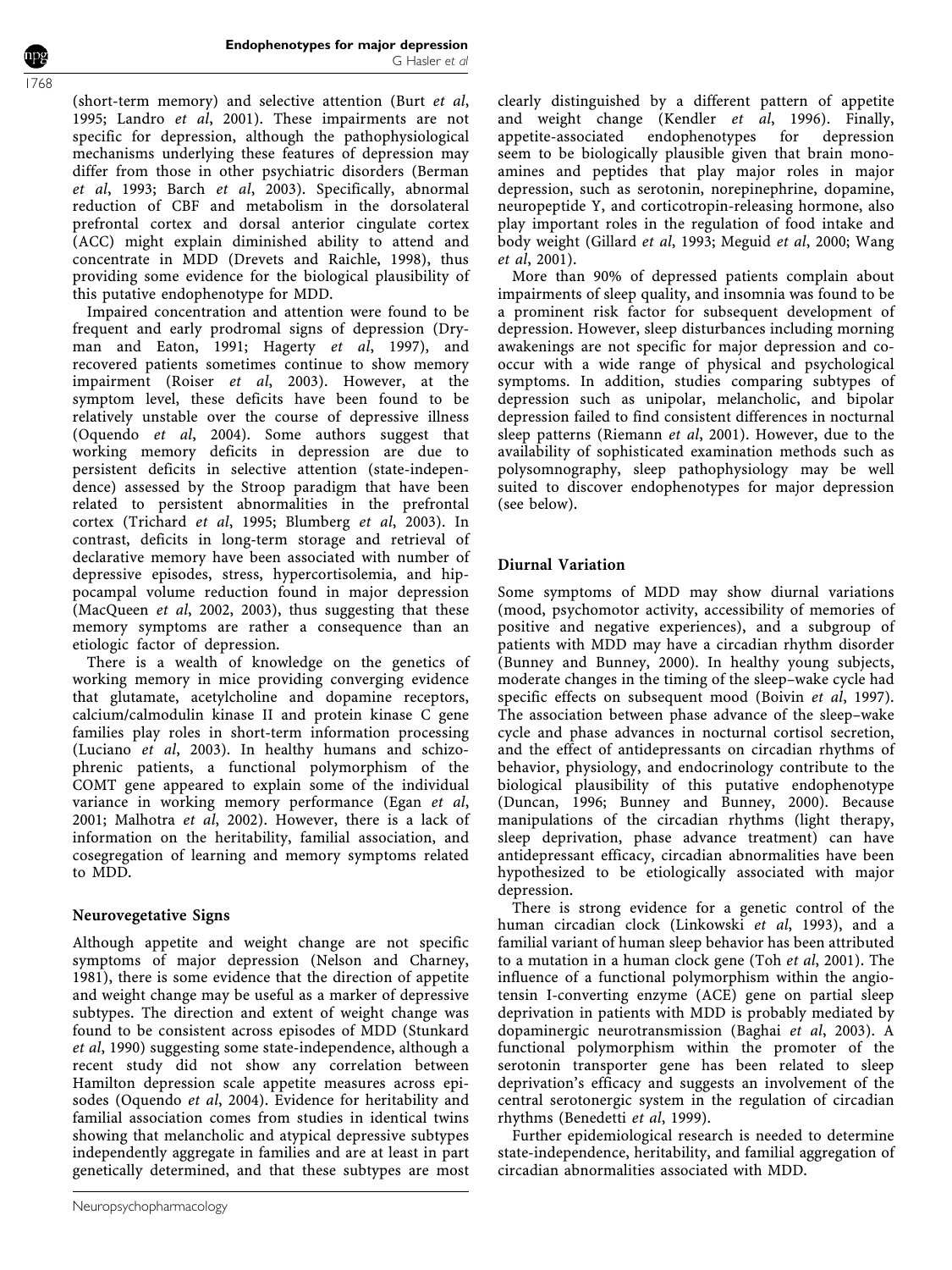(short-term memory) and selective attention (Burt et al, 1995; Landro et al, 2001). These impairments are not specific for depression, although the pathophysiological mechanisms underlying these features of depression may differ from those in other psychiatric disorders (Berman et al, 1993; Barch et al, 2003). Specifically, abnormal reduction of CBF and metabolism in the dorsolateral prefrontal cortex and dorsal anterior cingulate cortex (ACC) might explain diminished ability to attend and concentrate in MDD (Drevets and Raichle, 1998), thus providing some evidence for the biological plausibility of this putative endophenotype for MDD.

Impaired concentration and attention were found to be frequent and early prodromal signs of depression (Dryman and Eaton, 1991; Hagerty et al, 1997), and recovered patients sometimes continue to show memory impairment (Roiser et al, 2003). However, at the symptom level, these deficits have been found to be relatively unstable over the course of depressive illness (Oquendo et al, 2004). Some authors suggest that working memory deficits in depression are due to persistent deficits in selective attention (state-independence) assessed by the Stroop paradigm that have been related to persistent abnormalities in the prefrontal cortex (Trichard et al, 1995; Blumberg et al, 2003). In contrast, deficits in long-term storage and retrieval of declarative memory have been associated with number of depressive episodes, stress, hypercortisolemia, and hippocampal volume reduction found in major depression (MacQueen et al, 2002, 2003), thus suggesting that these memory symptoms are rather a consequence than an etiologic factor of depression.

There is a wealth of knowledge on the genetics of working memory in mice providing converging evidence that glutamate, acetylcholine and dopamine receptors, calcium/calmodulin kinase II and protein kinase C gene families play roles in short-term information processing (Luciano et al, 2003). In healthy humans and schizophrenic patients, a functional polymorphism of the COMT gene appeared to explain some of the individual variance in working memory performance (Egan et al, 2001; Malhotra et al, 2002). However, there is a lack of information on the heritability, familial association, and cosegregation of learning and memory symptoms related to MDD.

# Neurovegetative Signs

Although appetite and weight change are not specific symptoms of major depression (Nelson and Charney, 1981), there is some evidence that the direction of appetite and weight change may be useful as a marker of depressive subtypes. The direction and extent of weight change was found to be consistent across episodes of MDD (Stunkard et al, 1990) suggesting some state-independence, although a recent study did not show any correlation between Hamilton depression scale appetite measures across episodes (Oquendo et al, 2004). Evidence for heritability and familial association comes from studies in identical twins showing that melancholic and atypical depressive subtypes independently aggregate in families and are at least in part genetically determined, and that these subtypes are most

clearly distinguished by a different pattern of appetite and weight change (Kendler et al, 1996). Finally, appetite-associated endophenotypes for depression seem to be biologically plausible given that brain monoamines and peptides that play major roles in major depression, such as serotonin, norepinephrine, dopamine, neuropeptide Y, and corticotropin-releasing hormone, also play important roles in the regulation of food intake and body weight (Gillard et al, 1993; Meguid et al, 2000; Wang et al, 2001).

More than 90% of depressed patients complain about impairments of sleep quality, and insomnia was found to be a prominent risk factor for subsequent development of depression. However, sleep disturbances including morning awakenings are not specific for major depression and cooccur with a wide range of physical and psychological symptoms. In addition, studies comparing subtypes of depression such as unipolar, melancholic, and bipolar depression failed to find consistent differences in nocturnal sleep patterns (Riemann et al, 2001). However, due to the availability of sophisticated examination methods such as polysomnography, sleep pathophysiology may be well suited to discover endophenotypes for major depression (see below).

# Diurnal Variation

Some symptoms of MDD may show diurnal variations (mood, psychomotor activity, accessibility of memories of positive and negative experiences), and a subgroup of patients with MDD may have a circadian rhythm disorder (Bunney and Bunney, 2000). In healthy young subjects, moderate changes in the timing of the sleep–wake cycle had specific effects on subsequent mood (Boivin et al, 1997). The association between phase advance of the sleep–wake cycle and phase advances in nocturnal cortisol secretion, and the effect of antidepressants on circadian rhythms of behavior, physiology, and endocrinology contribute to the biological plausibility of this putative endophenotype (Duncan, 1996; Bunney and Bunney, 2000). Because manipulations of the circadian rhythms (light therapy, sleep deprivation, phase advance treatment) can have antidepressant efficacy, circadian abnormalities have been hypothesized to be etiologically associated with major depression.

There is strong evidence for a genetic control of the human circadian clock (Linkowski et al, 1993), and a familial variant of human sleep behavior has been attributed to a mutation in a human clock gene (Toh et al, 2001). The influence of a functional polymorphism within the angiotensin I-converting enzyme (ACE) gene on partial sleep deprivation in patients with MDD is probably mediated by dopaminergic neurotransmission (Baghai et al, 2003). A functional polymorphism within the promoter of the serotonin transporter gene has been related to sleep deprivation's efficacy and suggests an involvement of the central serotonergic system in the regulation of circadian rhythms (Benedetti et al, 1999).

Further epidemiological research is needed to determine state-independence, heritability, and familial aggregation of circadian abnormalities associated with MDD.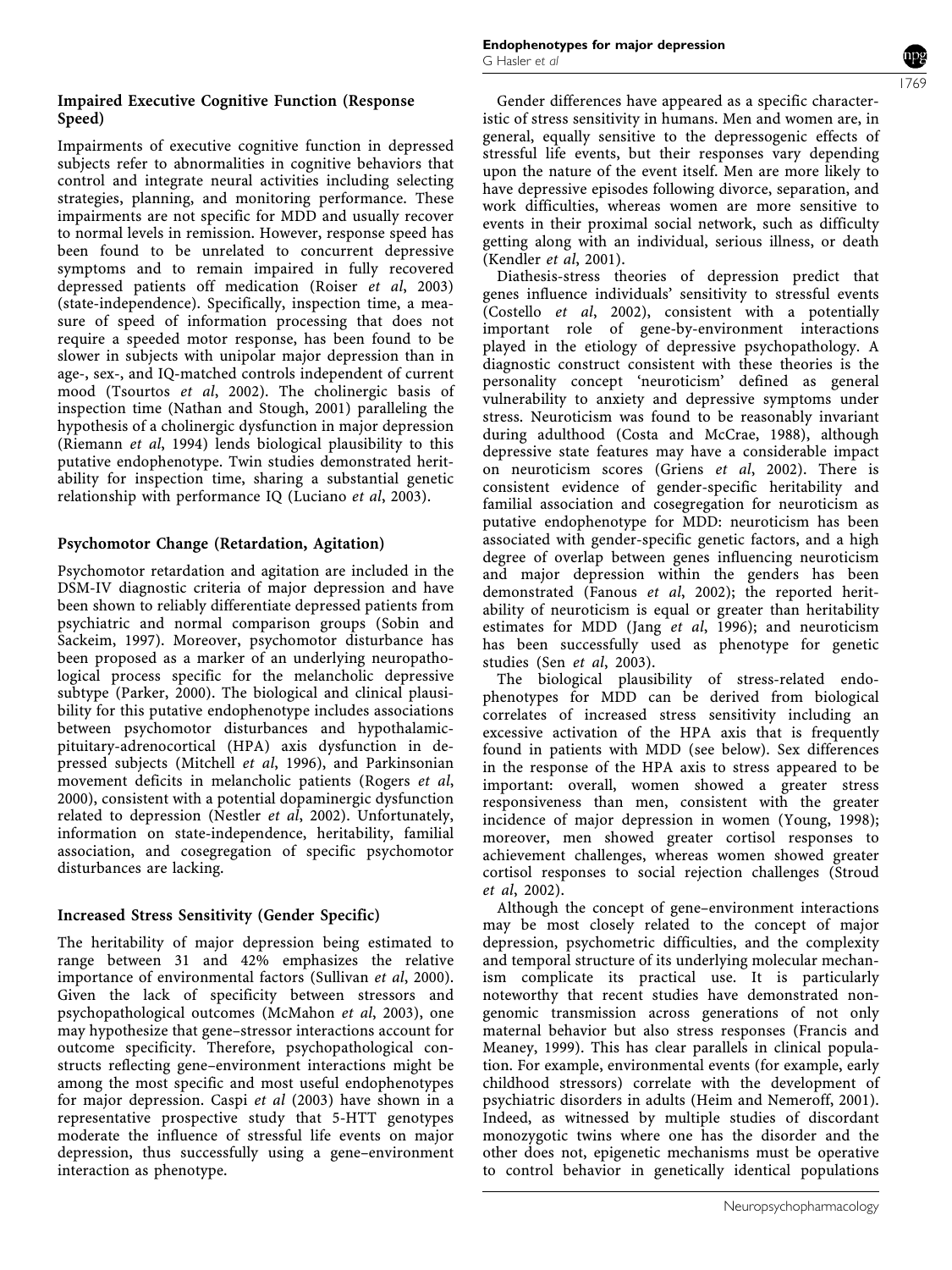## Impaired Executive Cognitive Function (Response Speed)

Impairments of executive cognitive function in depressed subjects refer to abnormalities in cognitive behaviors that control and integrate neural activities including selecting strategies, planning, and monitoring performance. These impairments are not specific for MDD and usually recover to normal levels in remission. However, response speed has been found to be unrelated to concurrent depressive symptoms and to remain impaired in fully recovered depressed patients off medication (Roiser et al, 2003) (state-independence). Specifically, inspection time, a measure of speed of information processing that does not require a speeded motor response, has been found to be slower in subjects with unipolar major depression than in age-, sex-, and IQ-matched controls independent of current mood (Tsourtos et al, 2002). The cholinergic basis of inspection time (Nathan and Stough, 2001) paralleling the hypothesis of a cholinergic dysfunction in major depression (Riemann et al, 1994) lends biological plausibility to this putative endophenotype. Twin studies demonstrated heritability for inspection time, sharing a substantial genetic relationship with performance IQ (Luciano et al, 2003).

# Psychomotor Change (Retardation, Agitation)

Psychomotor retardation and agitation are included in the DSM-IV diagnostic criteria of major depression and have been shown to reliably differentiate depressed patients from psychiatric and normal comparison groups (Sobin and Sackeim, 1997). Moreover, psychomotor disturbance has been proposed as a marker of an underlying neuropathological process specific for the melancholic depressive subtype (Parker, 2000). The biological and clinical plausibility for this putative endophenotype includes associations between psychomotor disturbances and hypothalamicpituitary-adrenocortical (HPA) axis dysfunction in depressed subjects (Mitchell et al, 1996), and Parkinsonian movement deficits in melancholic patients (Rogers et al, 2000), consistent with a potential dopaminergic dysfunction related to depression (Nestler et al, 2002). Unfortunately, information on state-independence, heritability, familial association, and cosegregation of specific psychomotor disturbances are lacking.

# Increased Stress Sensitivity (Gender Specific)

The heritability of major depression being estimated to range between 31 and 42% emphasizes the relative importance of environmental factors (Sullivan et al, 2000). Given the lack of specificity between stressors and psychopathological outcomes (McMahon et al, 2003), one may hypothesize that gene–stressor interactions account for outcome specificity. Therefore, psychopathological constructs reflecting gene–environment interactions might be among the most specific and most useful endophenotypes for major depression. Caspi et al (2003) have shown in a representative prospective study that 5-HTT genotypes moderate the influence of stressful life events on major depression, thus successfully using a gene–environment interaction as phenotype.

Gender differences have appeared as a specific characteristic of stress sensitivity in humans. Men and women are, in general, equally sensitive to the depressogenic effects of stressful life events, but their responses vary depending upon the nature of the event itself. Men are more likely to have depressive episodes following divorce, separation, and work difficulties, whereas women are more sensitive to events in their proximal social network, such as difficulty getting along with an individual, serious illness, or death (Kendler et al, 2001).

Diathesis-stress theories of depression predict that genes influence individuals' sensitivity to stressful events (Costello et al, 2002), consistent with a potentially important role of gene-by-environment interactions played in the etiology of depressive psychopathology. A diagnostic construct consistent with these theories is the personality concept 'neuroticism' defined as general vulnerability to anxiety and depressive symptoms under stress. Neuroticism was found to be reasonably invariant during adulthood (Costa and McCrae, 1988), although depressive state features may have a considerable impact on neuroticism scores (Griens et al, 2002). There is consistent evidence of gender-specific heritability and familial association and cosegregation for neuroticism as putative endophenotype for MDD: neuroticism has been associated with gender-specific genetic factors, and a high degree of overlap between genes influencing neuroticism and major depression within the genders has been demonstrated (Fanous et al, 2002); the reported heritability of neuroticism is equal or greater than heritability estimates for MDD (Jang et al, 1996); and neuroticism has been successfully used as phenotype for genetic studies (Sen et al, 2003).

The biological plausibility of stress-related endophenotypes for MDD can be derived from biological correlates of increased stress sensitivity including an excessive activation of the HPA axis that is frequently found in patients with MDD (see below). Sex differences in the response of the HPA axis to stress appeared to be important: overall, women showed a greater stress responsiveness than men, consistent with the greater incidence of major depression in women (Young, 1998); moreover, men showed greater cortisol responses to achievement challenges, whereas women showed greater cortisol responses to social rejection challenges (Stroud et al, 2002).

Although the concept of gene–environment interactions may be most closely related to the concept of major depression, psychometric difficulties, and the complexity and temporal structure of its underlying molecular mechanism complicate its practical use. It is particularly noteworthy that recent studies have demonstrated nongenomic transmission across generations of not only maternal behavior but also stress responses (Francis and Meaney, 1999). This has clear parallels in clinical population. For example, environmental events (for example, early childhood stressors) correlate with the development of psychiatric disorders in adults (Heim and Nemeroff, 2001). Indeed, as witnessed by multiple studies of discordant monozygotic twins where one has the disorder and the other does not, epigenetic mechanisms must be operative to control behavior in genetically identical populations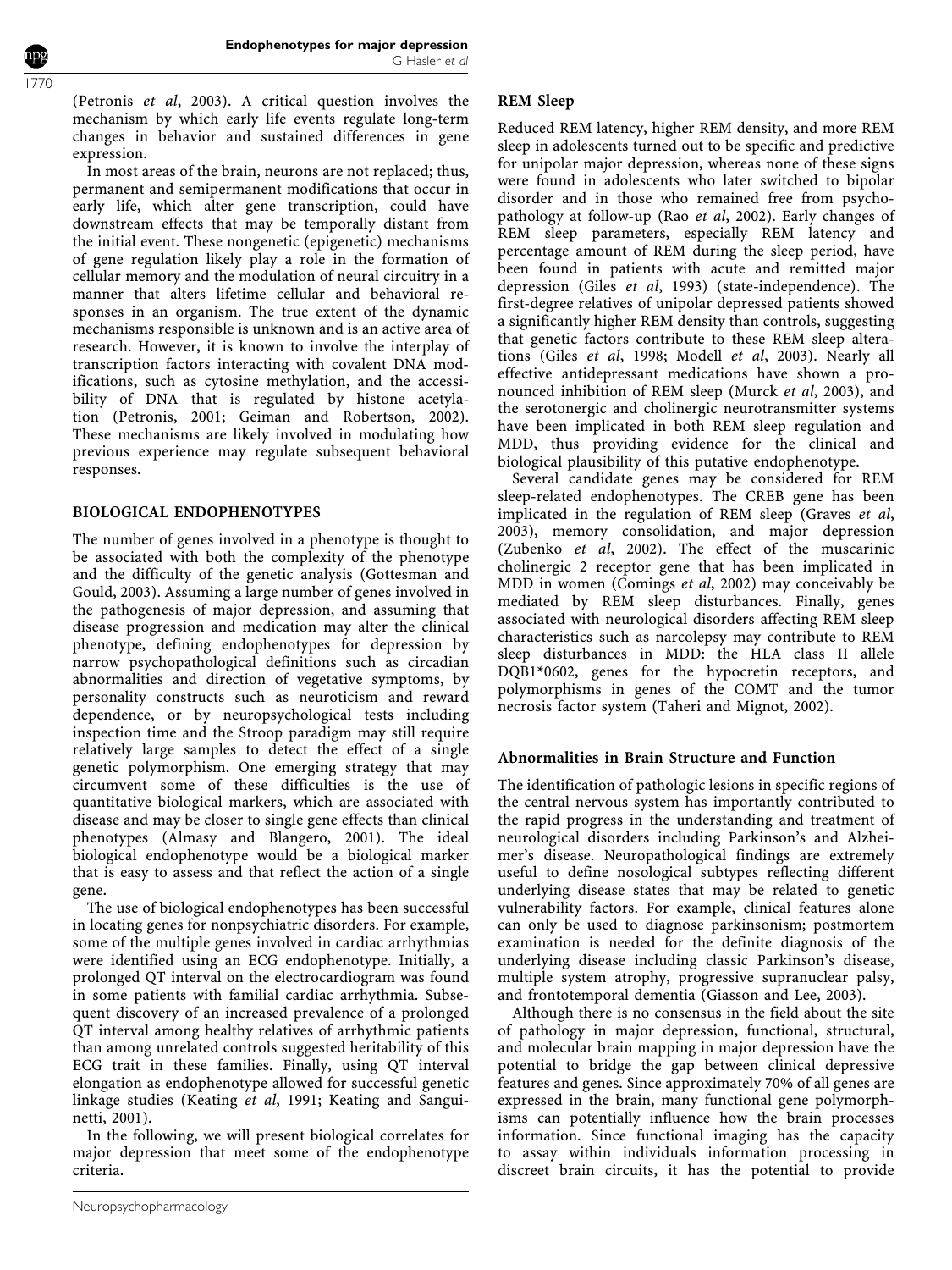(Petronis et al, 2003). A critical question involves the mechanism by which early life events regulate long-term changes in behavior and sustained differences in gene expression.

In most areas of the brain, neurons are not replaced; thus, permanent and semipermanent modifications that occur in early life, which alter gene transcription, could have downstream effects that may be temporally distant from the initial event. These nongenetic (epigenetic) mechanisms of gene regulation likely play a role in the formation of cellular memory and the modulation of neural circuitry in a manner that alters lifetime cellular and behavioral responses in an organism. The true extent of the dynamic mechanisms responsible is unknown and is an active area of research. However, it is known to involve the interplay of transcription factors interacting with covalent DNA modifications, such as cytosine methylation, and the accessibility of DNA that is regulated by histone acetylation (Petronis, 2001; Geiman and Robertson, 2002). These mechanisms are likely involved in modulating how previous experience may regulate subsequent behavioral responses.

# BIOLOGICAL ENDOPHENOTYPES

The number of genes involved in a phenotype is thought to be associated with both the complexity of the phenotype and the difficulty of the genetic analysis (Gottesman and Gould, 2003). Assuming a large number of genes involved in the pathogenesis of major depression, and assuming that disease progression and medication may alter the clinical phenotype, defining endophenotypes for depression by narrow psychopathological definitions such as circadian abnormalities and direction of vegetative symptoms, by personality constructs such as neuroticism and reward dependence, or by neuropsychological tests including inspection time and the Stroop paradigm may still require relatively large samples to detect the effect of a single genetic polymorphism. One emerging strategy that may circumvent some of these difficulties is the use of quantitative biological markers, which are associated with disease and may be closer to single gene effects than clinical phenotypes (Almasy and Blangero, 2001). The ideal biological endophenotype would be a biological marker that is easy to assess and that reflect the action of a single gene.

The use of biological endophenotypes has been successful in locating genes for nonpsychiatric disorders. For example, some of the multiple genes involved in cardiac arrhythmias were identified using an ECG endophenotype. Initially, a prolonged QT interval on the electrocardiogram was found in some patients with familial cardiac arrhythmia. Subsequent discovery of an increased prevalence of a prolonged QT interval among healthy relatives of arrhythmic patients than among unrelated controls suggested heritability of this ECG trait in these families. Finally, using QT interval elongation as endophenotype allowed for successful genetic linkage studies (Keating et al, 1991; Keating and Sanguinetti, 2001).

In the following, we will present biological correlates for major depression that meet some of the endophenotype criteria.

## REM Sleep

Reduced REM latency, higher REM density, and more REM sleep in adolescents turned out to be specific and predictive for unipolar major depression, whereas none of these signs were found in adolescents who later switched to bipolar disorder and in those who remained free from psychopathology at follow-up (Rao et al, 2002). Early changes of REM sleep parameters, especially REM latency and percentage amount of REM during the sleep period, have been found in patients with acute and remitted major depression (Giles et al, 1993) (state-independence). The first-degree relatives of unipolar depressed patients showed a significantly higher REM density than controls, suggesting that genetic factors contribute to these REM sleep alterations (Giles et al, 1998; Modell et al, 2003). Nearly all effective antidepressant medications have shown a pronounced inhibition of REM sleep (Murck et al, 2003), and the serotonergic and cholinergic neurotransmitter systems have been implicated in both REM sleep regulation and MDD, thus providing evidence for the clinical and biological plausibility of this putative endophenotype.

Several candidate genes may be considered for REM sleep-related endophenotypes. The CREB gene has been implicated in the regulation of REM sleep (Graves et al, 2003), memory consolidation, and major depression (Zubenko et al, 2002). The effect of the muscarinic cholinergic 2 receptor gene that has been implicated in MDD in women (Comings et al, 2002) may conceivably be mediated by REM sleep disturbances. Finally, genes associated with neurological disorders affecting REM sleep characteristics such as narcolepsy may contribute to REM sleep disturbances in MDD: the HLA class II allele DQB1\*0602, genes for the hypocretin receptors, and polymorphisms in genes of the COMT and the tumor necrosis factor system (Taheri and Mignot, 2002).

## Abnormalities in Brain Structure and Function

The identification of pathologic lesions in specific regions of the central nervous system has importantly contributed to the rapid progress in the understanding and treatment of neurological disorders including Parkinson's and Alzheimer's disease. Neuropathological findings are extremely useful to define nosological subtypes reflecting different underlying disease states that may be related to genetic vulnerability factors. For example, clinical features alone can only be used to diagnose parkinsonism; postmortem examination is needed for the definite diagnosis of the underlying disease including classic Parkinson's disease, multiple system atrophy, progressive supranuclear palsy, and frontotemporal dementia (Giasson and Lee, 2003).

Although there is no consensus in the field about the site of pathology in major depression, functional, structural, and molecular brain mapping in major depression have the potential to bridge the gap between clinical depressive features and genes. Since approximately 70% of all genes are expressed in the brain, many functional gene polymorphisms can potentially influence how the brain processes information. Since functional imaging has the capacity to assay within individuals information processing in discreet brain circuits, it has the potential to provide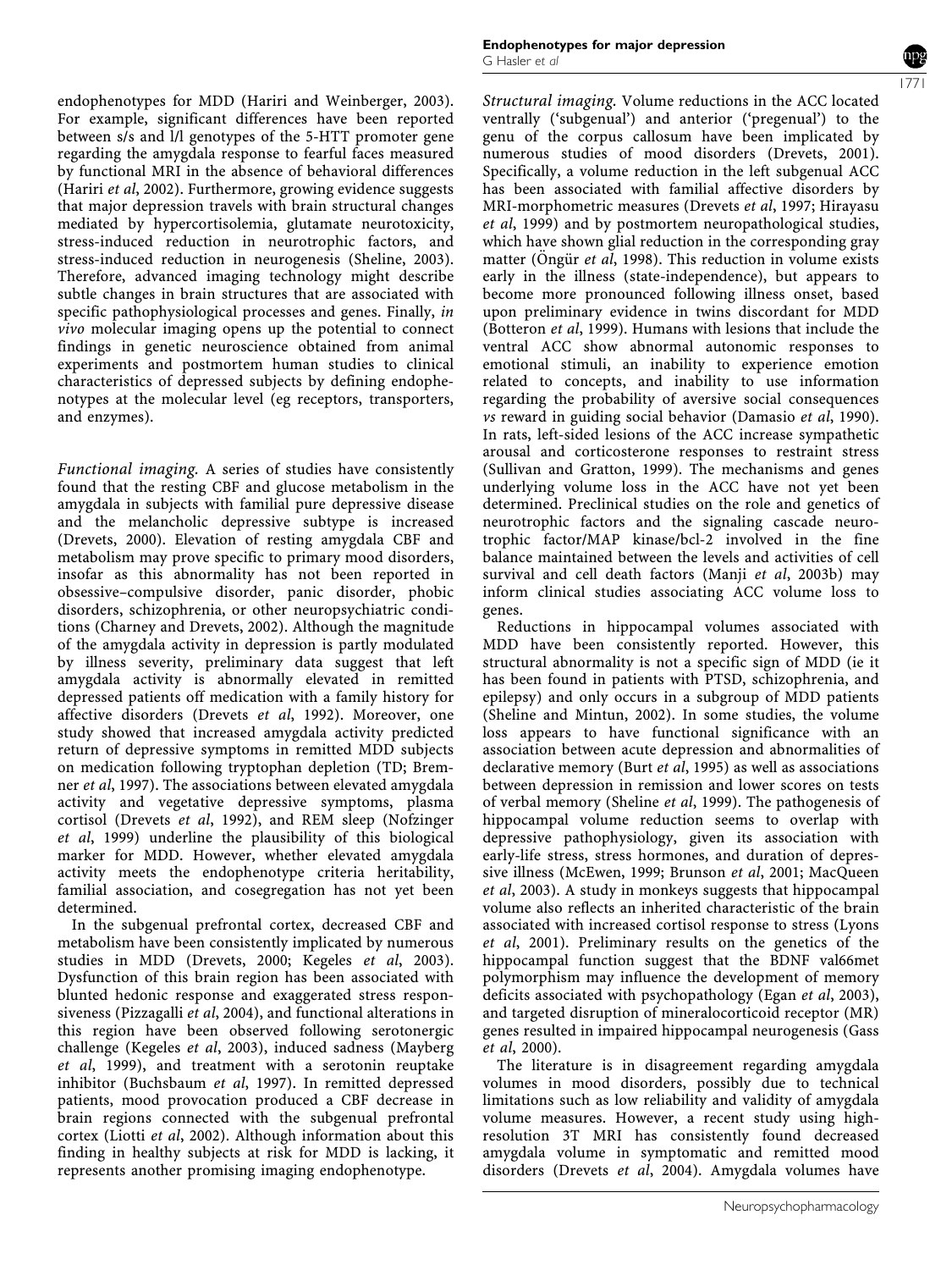endophenotypes for MDD (Hariri and Weinberger, 2003). For example, significant differences have been reported between s/s and l/l genotypes of the 5-HTT promoter gene regarding the amygdala response to fearful faces measured by functional MRI in the absence of behavioral differences (Hariri et al, 2002). Furthermore, growing evidence suggests that major depression travels with brain structural changes mediated by hypercortisolemia, glutamate neurotoxicity, stress-induced reduction in neurotrophic factors, and stress-induced reduction in neurogenesis (Sheline, 2003). Therefore, advanced imaging technology might describe subtle changes in brain structures that are associated with specific pathophysiological processes and genes. Finally, in vivo molecular imaging opens up the potential to connect findings in genetic neuroscience obtained from animal experiments and postmortem human studies to clinical characteristics of depressed subjects by defining endophenotypes at the molecular level (eg receptors, transporters, and enzymes).

Functional imaging. A series of studies have consistently found that the resting CBF and glucose metabolism in the amygdala in subjects with familial pure depressive disease and the melancholic depressive subtype is increased (Drevets, 2000). Elevation of resting amygdala CBF and metabolism may prove specific to primary mood disorders, insofar as this abnormality has not been reported in obsessive–compulsive disorder, panic disorder, phobic disorders, schizophrenia, or other neuropsychiatric conditions (Charney and Drevets, 2002). Although the magnitude of the amygdala activity in depression is partly modulated by illness severity, preliminary data suggest that left amygdala activity is abnormally elevated in remitted depressed patients off medication with a family history for affective disorders (Drevets et al, 1992). Moreover, one study showed that increased amygdala activity predicted return of depressive symptoms in remitted MDD subjects on medication following tryptophan depletion (TD; Bremner et al, 1997). The associations between elevated amygdala activity and vegetative depressive symptoms, plasma cortisol (Drevets et al, 1992), and REM sleep (Nofzinger et al, 1999) underline the plausibility of this biological marker for MDD. However, whether elevated amygdala activity meets the endophenotype criteria heritability, familial association, and cosegregation has not yet been determined.

In the subgenual prefrontal cortex, decreased CBF and metabolism have been consistently implicated by numerous studies in MDD (Drevets, 2000; Kegeles et al, 2003). Dysfunction of this brain region has been associated with blunted hedonic response and exaggerated stress responsiveness (Pizzagalli et al, 2004), and functional alterations in this region have been observed following serotonergic challenge (Kegeles et al, 2003), induced sadness (Mayberg et al, 1999), and treatment with a serotonin reuptake inhibitor (Buchsbaum et al, 1997). In remitted depressed patients, mood provocation produced a CBF decrease in brain regions connected with the subgenual prefrontal cortex (Liotti et al, 2002). Although information about this finding in healthy subjects at risk for MDD is lacking, it represents another promising imaging endophenotype.

Structural imaging. Volume reductions in the ACC located ventrally ('subgenual') and anterior ('pregenual') to the genu of the corpus callosum have been implicated by numerous studies of mood disorders (Drevets, 2001). Specifically, a volume reduction in the left subgenual ACC has been associated with familial affective disorders by MRI-morphometric measures (Drevets et al, 1997; Hirayasu et al, 1999) and by postmortem neuropathological studies, which have shown glial reduction in the corresponding gray matter (Öngür et al, 1998). This reduction in volume exists early in the illness (state-independence), but appears to become more pronounced following illness onset, based upon preliminary evidence in twins discordant for MDD (Botteron et al, 1999). Humans with lesions that include the ventral ACC show abnormal autonomic responses to emotional stimuli, an inability to experience emotion related to concepts, and inability to use information regarding the probability of aversive social consequences vs reward in guiding social behavior (Damasio et al, 1990). In rats, left-sided lesions of the ACC increase sympathetic arousal and corticosterone responses to restraint stress (Sullivan and Gratton, 1999). The mechanisms and genes underlying volume loss in the ACC have not yet been determined. Preclinical studies on the role and genetics of neurotrophic factors and the signaling cascade neurotrophic factor/MAP kinase/bcl-2 involved in the fine balance maintained between the levels and activities of cell survival and cell death factors (Manji et al, 2003b) may inform clinical studies associating ACC volume loss to genes.

Reductions in hippocampal volumes associated with MDD have been consistently reported. However, this structural abnormality is not a specific sign of MDD (ie it has been found in patients with PTSD, schizophrenia, and epilepsy) and only occurs in a subgroup of MDD patients (Sheline and Mintun, 2002). In some studies, the volume loss appears to have functional significance with an association between acute depression and abnormalities of declarative memory (Burt et al, 1995) as well as associations between depression in remission and lower scores on tests of verbal memory (Sheline et al, 1999). The pathogenesis of hippocampal volume reduction seems to overlap with depressive pathophysiology, given its association with early-life stress, stress hormones, and duration of depressive illness (McEwen, 1999; Brunson et al, 2001; MacQueen et al, 2003). A study in monkeys suggests that hippocampal volume also reflects an inherited characteristic of the brain associated with increased cortisol response to stress (Lyons et al, 2001). Preliminary results on the genetics of the hippocampal function suggest that the BDNF val66met polymorphism may influence the development of memory deficits associated with psychopathology (Egan et al, 2003), and targeted disruption of mineralocorticoid receptor (MR) genes resulted in impaired hippocampal neurogenesis (Gass et al, 2000).

The literature is in disagreement regarding amygdala volumes in mood disorders, possibly due to technical limitations such as low reliability and validity of amygdala volume measures. However, a recent study using highresolution 3T MRI has consistently found decreased amygdala volume in symptomatic and remitted mood disorders (Drevets et al, 2004). Amygdala volumes have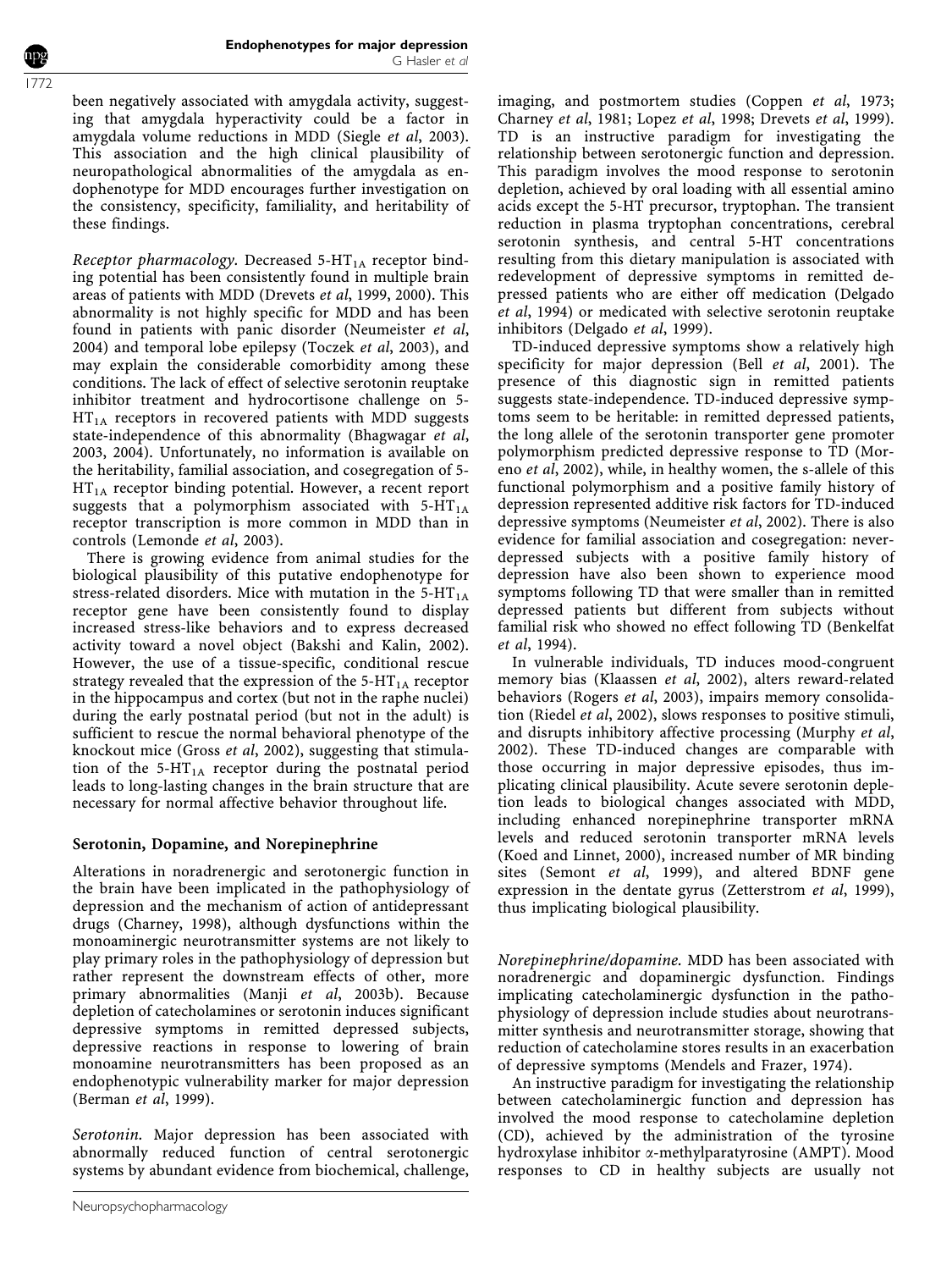been negatively associated with amygdala activity, suggesting that amygdala hyperactivity could be a factor in amygdala volume reductions in MDD (Siegle et al, 2003). This association and the high clinical plausibility of neuropathological abnormalities of the amygdala as endophenotype for MDD encourages further investigation on the consistency, specificity, familiality, and heritability of these findings.

Receptor pharmacology. Decreased  $5-HT<sub>1A</sub>$  receptor binding potential has been consistently found in multiple brain areas of patients with MDD (Drevets et al, 1999, 2000). This abnormality is not highly specific for MDD and has been found in patients with panic disorder (Neumeister et al, 2004) and temporal lobe epilepsy (Toczek et al, 2003), and may explain the considerable comorbidity among these conditions. The lack of effect of selective serotonin reuptake inhibitor treatment and hydrocortisone challenge on 5-  $HT_{1A}$  receptors in recovered patients with MDD suggests state-independence of this abnormality (Bhagwagar et al, 2003, 2004). Unfortunately, no information is available on the heritability, familial association, and cosegregation of 5-  $HT_{1A}$  receptor binding potential. However, a recent report suggests that a polymorphism associated with  $5-HT<sub>1A</sub>$ receptor transcription is more common in MDD than in controls (Lemonde et al, 2003).

There is growing evidence from animal studies for the biological plausibility of this putative endophenotype for stress-related disorders. Mice with mutation in the  $5-HT_{1A}$ receptor gene have been consistently found to display increased stress-like behaviors and to express decreased activity toward a novel object (Bakshi and Kalin, 2002). However, the use of a tissue-specific, conditional rescue strategy revealed that the expression of the  $5-HT_{1A}$  receptor in the hippocampus and cortex (but not in the raphe nuclei) during the early postnatal period (but not in the adult) is sufficient to rescue the normal behavioral phenotype of the knockout mice (Gross et al, 2002), suggesting that stimulation of the 5-HT<sub>1A</sub> receptor during the postnatal period leads to long-lasting changes in the brain structure that are necessary for normal affective behavior throughout life.

## Serotonin, Dopamine, and Norepinephrine

Alterations in noradrenergic and serotonergic function in the brain have been implicated in the pathophysiology of depression and the mechanism of action of antidepressant drugs (Charney, 1998), although dysfunctions within the monoaminergic neurotransmitter systems are not likely to play primary roles in the pathophysiology of depression but rather represent the downstream effects of other, more primary abnormalities (Manji et al, 2003b). Because depletion of catecholamines or serotonin induces significant depressive symptoms in remitted depressed subjects, depressive reactions in response to lowering of brain monoamine neurotransmitters has been proposed as an endophenotypic vulnerability marker for major depression (Berman et al, 1999).

Serotonin. Major depression has been associated with abnormally reduced function of central serotonergic systems by abundant evidence from biochemical, challenge, imaging, and postmortem studies (Coppen et al, 1973; Charney et al, 1981; Lopez et al, 1998; Drevets et al, 1999). TD is an instructive paradigm for investigating the relationship between serotonergic function and depression. This paradigm involves the mood response to serotonin depletion, achieved by oral loading with all essential amino acids except the 5-HT precursor, tryptophan. The transient reduction in plasma tryptophan concentrations, cerebral serotonin synthesis, and central 5-HT concentrations resulting from this dietary manipulation is associated with redevelopment of depressive symptoms in remitted depressed patients who are either off medication (Delgado et al, 1994) or medicated with selective serotonin reuptake inhibitors (Delgado et al, 1999).

TD-induced depressive symptoms show a relatively high specificity for major depression (Bell *et al*, 2001). The presence of this diagnostic sign in remitted patients suggests state-independence. TD-induced depressive symptoms seem to be heritable: in remitted depressed patients, the long allele of the serotonin transporter gene promoter polymorphism predicted depressive response to TD (Moreno et al, 2002), while, in healthy women, the s-allele of this functional polymorphism and a positive family history of depression represented additive risk factors for TD-induced depressive symptoms (Neumeister et al, 2002). There is also evidence for familial association and cosegregation: neverdepressed subjects with a positive family history of depression have also been shown to experience mood symptoms following TD that were smaller than in remitted depressed patients but different from subjects without familial risk who showed no effect following TD (Benkelfat et al, 1994).

In vulnerable individuals, TD induces mood-congruent memory bias (Klaassen et al, 2002), alters reward-related behaviors (Rogers et al, 2003), impairs memory consolidation (Riedel et al, 2002), slows responses to positive stimuli, and disrupts inhibitory affective processing (Murphy et al, 2002). These TD-induced changes are comparable with those occurring in major depressive episodes, thus implicating clinical plausibility. Acute severe serotonin depletion leads to biological changes associated with MDD, including enhanced norepinephrine transporter mRNA levels and reduced serotonin transporter mRNA levels (Koed and Linnet, 2000), increased number of MR binding sites (Semont et al, 1999), and altered BDNF gene expression in the dentate gyrus (Zetterstrom et al, 1999), thus implicating biological plausibility.

Norepinephrine/dopamine. MDD has been associated with noradrenergic and dopaminergic dysfunction. Findings implicating catecholaminergic dysfunction in the pathophysiology of depression include studies about neurotransmitter synthesis and neurotransmitter storage, showing that reduction of catecholamine stores results in an exacerbation of depressive symptoms (Mendels and Frazer, 1974).

An instructive paradigm for investigating the relationship between catecholaminergic function and depression has involved the mood response to catecholamine depletion (CD), achieved by the administration of the tyrosine hydroxylase inhibitor a-methylparatyrosine (AMPT). Mood responses to CD in healthy subjects are usually not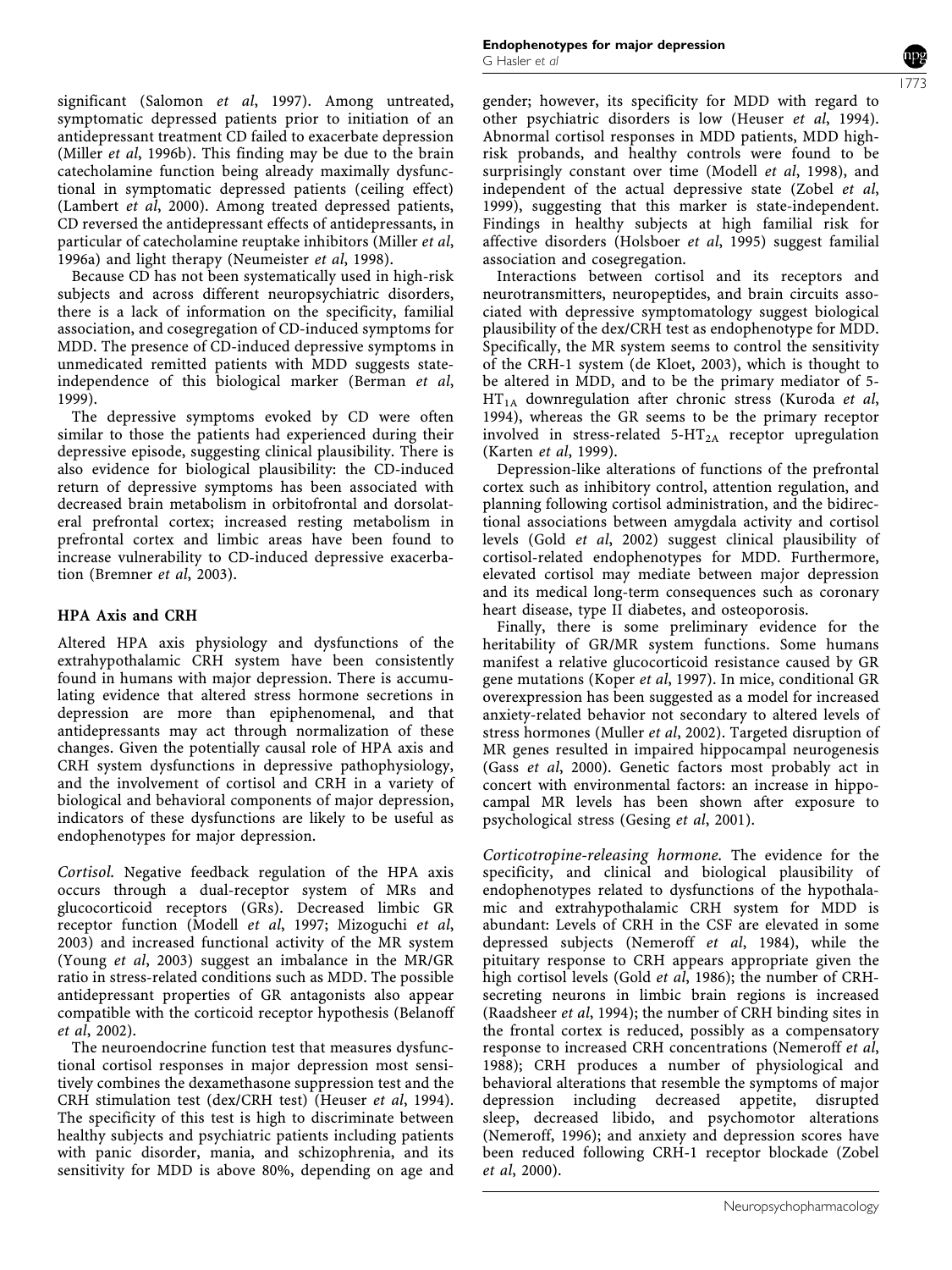significant (Salomon et al, 1997). Among untreated, symptomatic depressed patients prior to initiation of an antidepressant treatment CD failed to exacerbate depression (Miller et al, 1996b). This finding may be due to the brain catecholamine function being already maximally dysfunctional in symptomatic depressed patients (ceiling effect) (Lambert et al, 2000). Among treated depressed patients, CD reversed the antidepressant effects of antidepressants, in particular of catecholamine reuptake inhibitors (Miller et al, 1996a) and light therapy (Neumeister et al, 1998).

Because CD has not been systematically used in high-risk subjects and across different neuropsychiatric disorders, there is a lack of information on the specificity, familial association, and cosegregation of CD-induced symptoms for MDD. The presence of CD-induced depressive symptoms in unmedicated remitted patients with MDD suggests stateindependence of this biological marker (Berman et al, 1999).

The depressive symptoms evoked by CD were often similar to those the patients had experienced during their depressive episode, suggesting clinical plausibility. There is also evidence for biological plausibility: the CD-induced return of depressive symptoms has been associated with decreased brain metabolism in orbitofrontal and dorsolateral prefrontal cortex; increased resting metabolism in prefrontal cortex and limbic areas have been found to increase vulnerability to CD-induced depressive exacerbation (Bremner et al, 2003).

## HPA Axis and CRH

Altered HPA axis physiology and dysfunctions of the extrahypothalamic CRH system have been consistently found in humans with major depression. There is accumulating evidence that altered stress hormone secretions in depression are more than epiphenomenal, and that antidepressants may act through normalization of these changes. Given the potentially causal role of HPA axis and CRH system dysfunctions in depressive pathophysiology, and the involvement of cortisol and CRH in a variety of biological and behavioral components of major depression, indicators of these dysfunctions are likely to be useful as endophenotypes for major depression.

Cortisol. Negative feedback regulation of the HPA axis occurs through a dual-receptor system of MRs and glucocorticoid receptors (GRs). Decreased limbic GR receptor function (Modell et al, 1997; Mizoguchi et al, 2003) and increased functional activity of the MR system (Young et al, 2003) suggest an imbalance in the MR/GR ratio in stress-related conditions such as MDD. The possible antidepressant properties of GR antagonists also appear compatible with the corticoid receptor hypothesis (Belanoff et al, 2002).

The neuroendocrine function test that measures dysfunctional cortisol responses in major depression most sensitively combines the dexamethasone suppression test and the CRH stimulation test (dex/CRH test) (Heuser et al, 1994). The specificity of this test is high to discriminate between healthy subjects and psychiatric patients including patients with panic disorder, mania, and schizophrenia, and its sensitivity for MDD is above 80%, depending on age and gender; however, its specificity for MDD with regard to other psychiatric disorders is low (Heuser et al, 1994). Abnormal cortisol responses in MDD patients, MDD highrisk probands, and healthy controls were found to be surprisingly constant over time (Modell et al, 1998), and independent of the actual depressive state (Zobel et al, 1999), suggesting that this marker is state-independent. Findings in healthy subjects at high familial risk for affective disorders (Holsboer et al, 1995) suggest familial association and cosegregation.

Interactions between cortisol and its receptors and neurotransmitters, neuropeptides, and brain circuits associated with depressive symptomatology suggest biological plausibility of the dex/CRH test as endophenotype for MDD. Specifically, the MR system seems to control the sensitivity of the CRH-1 system (de Kloet, 2003), which is thought to be altered in MDD, and to be the primary mediator of 5-  $HT<sub>1A</sub>$  downregulation after chronic stress (Kuroda et al, 1994), whereas the GR seems to be the primary receptor involved in stress-related  $5-HT_{2A}$  receptor upregulation (Karten et al, 1999).

Depression-like alterations of functions of the prefrontal cortex such as inhibitory control, attention regulation, and planning following cortisol administration, and the bidirectional associations between amygdala activity and cortisol levels (Gold et al, 2002) suggest clinical plausibility of cortisol-related endophenotypes for MDD. Furthermore, elevated cortisol may mediate between major depression and its medical long-term consequences such as coronary heart disease, type II diabetes, and osteoporosis.

Finally, there is some preliminary evidence for the heritability of GR/MR system functions. Some humans manifest a relative glucocorticoid resistance caused by GR gene mutations (Koper et al, 1997). In mice, conditional GR overexpression has been suggested as a model for increased anxiety-related behavior not secondary to altered levels of stress hormones (Muller et al, 2002). Targeted disruption of MR genes resulted in impaired hippocampal neurogenesis (Gass et al, 2000). Genetic factors most probably act in concert with environmental factors: an increase in hippocampal MR levels has been shown after exposure to psychological stress (Gesing et al, 2001).

Corticotropine-releasing hormone. The evidence for the specificity, and clinical and biological plausibility of endophenotypes related to dysfunctions of the hypothalamic and extrahypothalamic CRH system for MDD is abundant: Levels of CRH in the CSF are elevated in some depressed subjects (Nemeroff et al, 1984), while the pituitary response to CRH appears appropriate given the high cortisol levels (Gold et al, 1986); the number of CRHsecreting neurons in limbic brain regions is increased (Raadsheer et al, 1994); the number of CRH binding sites in the frontal cortex is reduced, possibly as a compensatory response to increased CRH concentrations (Nemeroff et al, 1988); CRH produces a number of physiological and behavioral alterations that resemble the symptoms of major depression including decreased appetite, disrupted sleep, decreased libido, and psychomotor alterations (Nemeroff, 1996); and anxiety and depression scores have been reduced following CRH-1 receptor blockade (Zobel et al, 2000).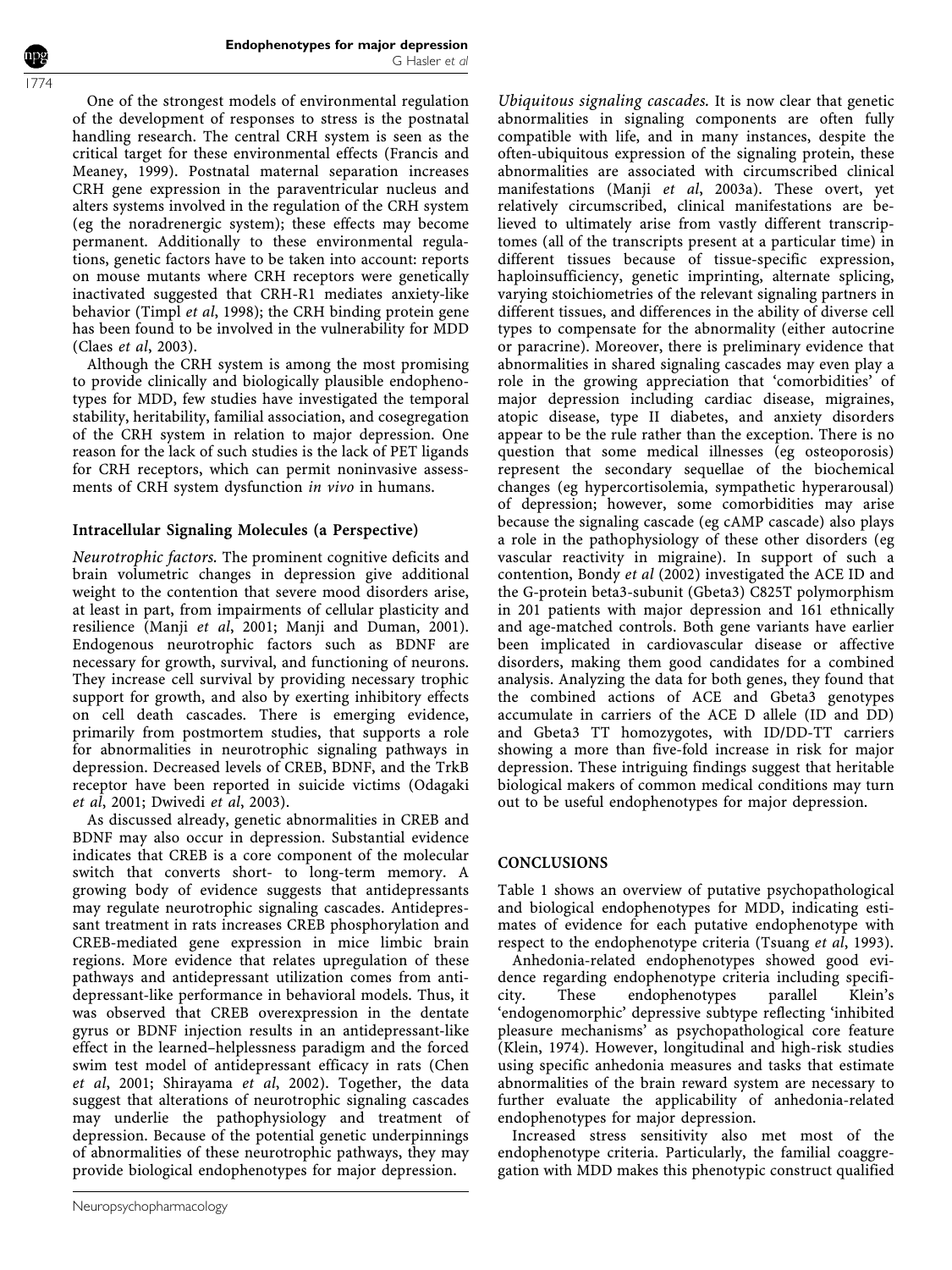One of the strongest models of environmental regulation of the development of responses to stress is the postnatal handling research. The central CRH system is seen as the critical target for these environmental effects (Francis and Meaney, 1999). Postnatal maternal separation increases CRH gene expression in the paraventricular nucleus and alters systems involved in the regulation of the CRH system (eg the noradrenergic system); these effects may become permanent. Additionally to these environmental regulations, genetic factors have to be taken into account: reports on mouse mutants where CRH receptors were genetically inactivated suggested that CRH-R1 mediates anxiety-like behavior (Timpl et al, 1998); the CRH binding protein gene has been found to be involved in the vulnerability for MDD (Claes et al, 2003).

Although the CRH system is among the most promising to provide clinically and biologically plausible endophenotypes for MDD, few studies have investigated the temporal stability, heritability, familial association, and cosegregation of the CRH system in relation to major depression. One reason for the lack of such studies is the lack of PET ligands for CRH receptors, which can permit noninvasive assessments of CRH system dysfunction in vivo in humans.

## Intracellular Signaling Molecules (a Perspective)

Neurotrophic factors. The prominent cognitive deficits and brain volumetric changes in depression give additional weight to the contention that severe mood disorders arise, at least in part, from impairments of cellular plasticity and resilience (Manji et al, 2001; Manji and Duman, 2001). Endogenous neurotrophic factors such as BDNF are necessary for growth, survival, and functioning of neurons. They increase cell survival by providing necessary trophic support for growth, and also by exerting inhibitory effects on cell death cascades. There is emerging evidence, primarily from postmortem studies, that supports a role for abnormalities in neurotrophic signaling pathways in depression. Decreased levels of CREB, BDNF, and the TrkB receptor have been reported in suicide victims (Odagaki et al, 2001; Dwivedi et al, 2003).

As discussed already, genetic abnormalities in CREB and BDNF may also occur in depression. Substantial evidence indicates that CREB is a core component of the molecular switch that converts short- to long-term memory. A growing body of evidence suggests that antidepressants may regulate neurotrophic signaling cascades. Antidepressant treatment in rats increases CREB phosphorylation and CREB-mediated gene expression in mice limbic brain regions. More evidence that relates upregulation of these pathways and antidepressant utilization comes from antidepressant-like performance in behavioral models. Thus, it was observed that CREB overexpression in the dentate gyrus or BDNF injection results in an antidepressant-like effect in the learned–helplessness paradigm and the forced swim test model of antidepressant efficacy in rats (Chen et al, 2001; Shirayama et al, 2002). Together, the data suggest that alterations of neurotrophic signaling cascades may underlie the pathophysiology and treatment of depression. Because of the potential genetic underpinnings of abnormalities of these neurotrophic pathways, they may provide biological endophenotypes for major depression.

Ubiquitous signaling cascades. It is now clear that genetic abnormalities in signaling components are often fully compatible with life, and in many instances, despite the often-ubiquitous expression of the signaling protein, these abnormalities are associated with circumscribed clinical manifestations (Manji et al, 2003a). These overt, yet relatively circumscribed, clinical manifestations are believed to ultimately arise from vastly different transcriptomes (all of the transcripts present at a particular time) in different tissues because of tissue-specific expression, haploinsufficiency, genetic imprinting, alternate splicing, varying stoichiometries of the relevant signaling partners in different tissues, and differences in the ability of diverse cell types to compensate for the abnormality (either autocrine or paracrine). Moreover, there is preliminary evidence that abnormalities in shared signaling cascades may even play a role in the growing appreciation that 'comorbidities' of major depression including cardiac disease, migraines, atopic disease, type II diabetes, and anxiety disorders appear to be the rule rather than the exception. There is no question that some medical illnesses (eg osteoporosis) represent the secondary sequellae of the biochemical changes (eg hypercortisolemia, sympathetic hyperarousal) of depression; however, some comorbidities may arise because the signaling cascade (eg cAMP cascade) also plays a role in the pathophysiology of these other disorders (eg vascular reactivity in migraine). In support of such a contention, Bondy et al (2002) investigated the ACE ID and the G-protein beta3-subunit (Gbeta3) C825T polymorphism in 201 patients with major depression and 161 ethnically and age-matched controls. Both gene variants have earlier been implicated in cardiovascular disease or affective disorders, making them good candidates for a combined analysis. Analyzing the data for both genes, they found that the combined actions of ACE and Gbeta3 genotypes accumulate in carriers of the ACE D allele (ID and DD) and Gbeta3 TT homozygotes, with ID/DD-TT carriers showing a more than five-fold increase in risk for major depression. These intriguing findings suggest that heritable biological makers of common medical conditions may turn out to be useful endophenotypes for major depression.

#### **CONCLUSIONS**

Table 1 shows an overview of putative psychopathological and biological endophenotypes for MDD, indicating estimates of evidence for each putative endophenotype with respect to the endophenotype criteria (Tsuang et al, 1993).

Anhedonia-related endophenotypes showed good evidence regarding endophenotype criteria including specificity. These endophenotypes parallel Klein's 'endogenomorphic' depressive subtype reflecting 'inhibited pleasure mechanisms' as psychopathological core feature (Klein, 1974). However, longitudinal and high-risk studies using specific anhedonia measures and tasks that estimate abnormalities of the brain reward system are necessary to further evaluate the applicability of anhedonia-related endophenotypes for major depression.

Increased stress sensitivity also met most of the endophenotype criteria. Particularly, the familial coaggregation with MDD makes this phenotypic construct qualified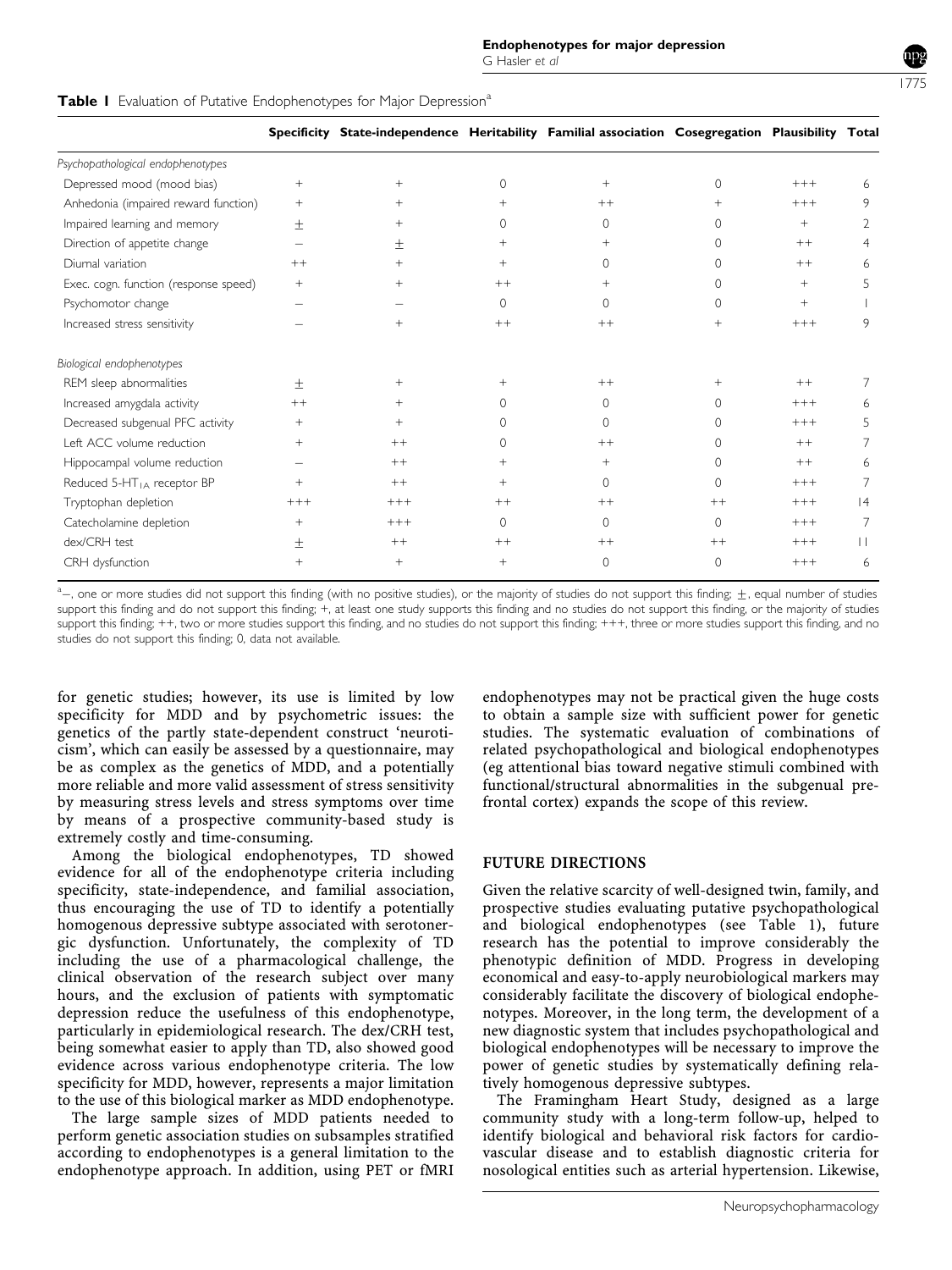|                                        | Table I Evaluation of Putative Endophenotypes for Major Depression <sup>a</sup> |                                                                                                   |                |          |          |        |         |
|----------------------------------------|---------------------------------------------------------------------------------|---------------------------------------------------------------------------------------------------|----------------|----------|----------|--------|---------|
|                                        |                                                                                 | Specificity State-independence Heritability Familial association Cosegregation Plausibility Total |                |          |          |        |         |
| Psychopathological endophenotypes      |                                                                                 |                                                                                                   |                |          |          |        |         |
| Depressed mood (mood bias)             | $+$                                                                             | $\pm$                                                                                             | $\Omega$       | $+$      | $\Omega$ | $+++$  | 6       |
| Anhedonia (impaired reward function)   | $^{+}$                                                                          | $^{+}$                                                                                            | $^{+}$         | $++$     |          | $+++$  | 9       |
| Impaired learning and memory           | 土                                                                               | $+$                                                                                               | $\Omega$       | $\Omega$ | 0        | $^{+}$ | 2       |
| Direction of appetite change           |                                                                                 | $\pm$                                                                                             | $\overline{+}$ | $+$      | 0        | $++$   | 4       |
| Diumal variation                       | $++$                                                                            | $+$                                                                                               | $+$            | 0        | 0        | $++$   |         |
| Exec. cogn. function (response speed)  | $\hspace{0.1mm} +$                                                              | $+$                                                                                               | $++$           | $+$      | 0        | $+$    |         |
| Psychomotor change                     |                                                                                 |                                                                                                   | $\circ$        | $\Omega$ | $\Omega$ | $+$    |         |
| Increased stress sensitivity           |                                                                                 | $+$                                                                                               | $++$           | $++$     |          | $+++$  | 9       |
| Biological endophenotypes              |                                                                                 |                                                                                                   |                |          |          |        |         |
| REM sleep abnormalities                | $^{+}$                                                                          | $+$                                                                                               | $^+$           | $++$     | $+$      | $++$   | 7       |
| Increased amygdala activity            | $++$                                                                            | $+$                                                                                               | $\Omega$       | $\Omega$ | $\cap$   | $+++$  | 6       |
| Decreased subgenual PFC activity       | $\ddot{}$                                                                       | $+$                                                                                               | $\Omega$       | $\Omega$ | $\cap$   | $+++$  | 5       |
| Left ACC volume reduction              | $\pm$                                                                           | $^{++}$                                                                                           | $\Omega$       | $++$     | 0        | $++$   | 7       |
| Hippocampal volume reduction           |                                                                                 | $++$                                                                                              | $^{+}$         | $+$      | 0        | $++$   | 6       |
| Reduced 5-HT <sub>IA</sub> receptor BP | $^{+}$                                                                          | $+ +$                                                                                             | $+$            | $\Omega$ | 0        | $+++$  | 7       |
| Tryptophan depletion                   | $+++$                                                                           | $+++$                                                                                             | $++$           | $++$     | $++$     | $+++$  | 4       |
| Catecholamine depletion                | $+$                                                                             | $+++$                                                                                             | $\circ$        | 0        | $\Omega$ | $+++$  | 7       |
| dex/CRH test                           | 士                                                                               | $++$                                                                                              | $++$           | $++$     | $++$     | $+++$  | $\perp$ |
|                                        |                                                                                 |                                                                                                   |                |          |          |        |         |

**Biol** 

a<sub>-</sub>, one or more studies did not support this finding (with no positive studies), or the majority of studies do not support this finding;  $\pm$ , equal number of studies support this finding and do not support this finding; +, at least one study supports this finding and no studies do not support this finding, or the majority of studies support this finding; ++, two or more studies support this finding, and no studies do not support this finding; +++, three or more studies support this finding, and no studies do not support this finding; 0, data not available.

CRH dysfunction + + + 0 0 +++ 6

for genetic studies; however, its use is limited by low specificity for MDD and by psychometric issues: the genetics of the partly state-dependent construct 'neuroticism', which can easily be assessed by a questionnaire, may be as complex as the genetics of MDD, and a potentially more reliable and more valid assessment of stress sensitivity by measuring stress levels and stress symptoms over time by means of a prospective community-based study is extremely costly and time-consuming.

Among the biological endophenotypes, TD showed evidence for all of the endophenotype criteria including specificity, state-independence, and familial association, thus encouraging the use of TD to identify a potentially homogenous depressive subtype associated with serotonergic dysfunction. Unfortunately, the complexity of TD including the use of a pharmacological challenge, the clinical observation of the research subject over many hours, and the exclusion of patients with symptomatic depression reduce the usefulness of this endophenotype, particularly in epidemiological research. The dex/CRH test, being somewhat easier to apply than TD, also showed good evidence across various endophenotype criteria. The low specificity for MDD, however, represents a major limitation to the use of this biological marker as MDD endophenotype.

The large sample sizes of MDD patients needed to perform genetic association studies on subsamples stratified according to endophenotypes is a general limitation to the endophenotype approach. In addition, using PET or fMRI endophenotypes may not be practical given the huge costs to obtain a sample size with sufficient power for genetic studies. The systematic evaluation of combinations of related psychopathological and biological endophenotypes (eg attentional bias toward negative stimuli combined with functional/structural abnormalities in the subgenual prefrontal cortex) expands the scope of this review.

#### FUTURE DIRECTIONS

Given the relative scarcity of well-designed twin, family, and prospective studies evaluating putative psychopathological and biological endophenotypes (see Table 1), future research has the potential to improve considerably the phenotypic definition of MDD. Progress in developing economical and easy-to-apply neurobiological markers may considerably facilitate the discovery of biological endophenotypes. Moreover, in the long term, the development of a new diagnostic system that includes psychopathological and biological endophenotypes will be necessary to improve the power of genetic studies by systematically defining relatively homogenous depressive subtypes.

The Framingham Heart Study, designed as a large community study with a long-term follow-up, helped to identify biological and behavioral risk factors for cardiovascular disease and to establish diagnostic criteria for nosological entities such as arterial hypertension. Likewise,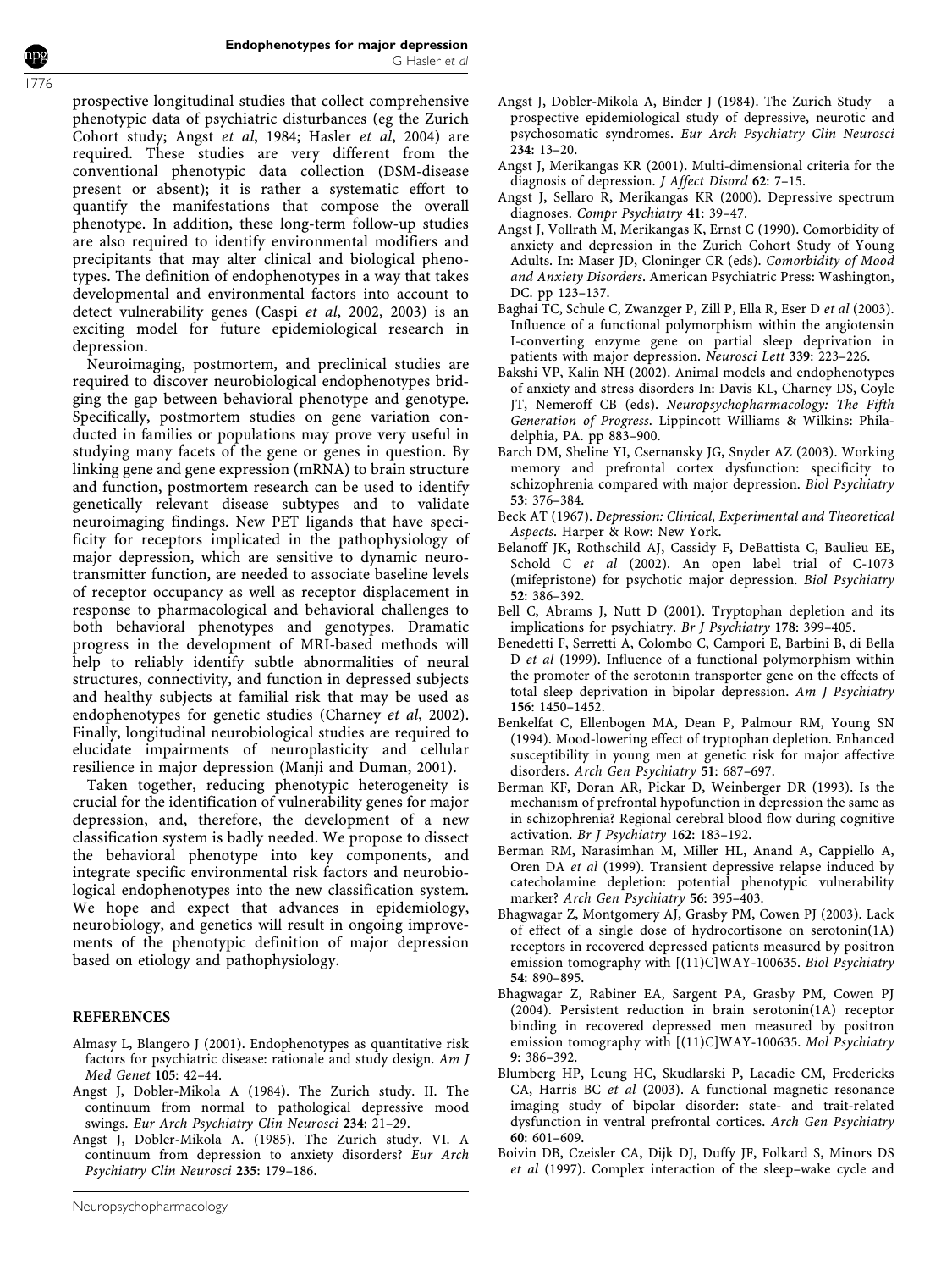prospective longitudinal studies that collect comprehensive phenotypic data of psychiatric disturbances (eg the Zurich Cohort study; Angst et al, 1984; Hasler et al, 2004) are required. These studies are very different from the conventional phenotypic data collection (DSM-disease present or absent); it is rather a systematic effort to quantify the manifestations that compose the overall phenotype. In addition, these long-term follow-up studies are also required to identify environmental modifiers and precipitants that may alter clinical and biological phenotypes. The definition of endophenotypes in a way that takes developmental and environmental factors into account to detect vulnerability genes (Caspi et al, 2002, 2003) is an exciting model for future epidemiological research in depression.

Neuroimaging, postmortem, and preclinical studies are required to discover neurobiological endophenotypes bridging the gap between behavioral phenotype and genotype. Specifically, postmortem studies on gene variation conducted in families or populations may prove very useful in studying many facets of the gene or genes in question. By linking gene and gene expression (mRNA) to brain structure and function, postmortem research can be used to identify genetically relevant disease subtypes and to validate neuroimaging findings. New PET ligands that have specificity for receptors implicated in the pathophysiology of major depression, which are sensitive to dynamic neurotransmitter function, are needed to associate baseline levels of receptor occupancy as well as receptor displacement in response to pharmacological and behavioral challenges to both behavioral phenotypes and genotypes. Dramatic progress in the development of MRI-based methods will help to reliably identify subtle abnormalities of neural structures, connectivity, and function in depressed subjects and healthy subjects at familial risk that may be used as endophenotypes for genetic studies (Charney et al, 2002). Finally, longitudinal neurobiological studies are required to elucidate impairments of neuroplasticity and cellular resilience in major depression (Manji and Duman, 2001).

Taken together, reducing phenotypic heterogeneity is crucial for the identification of vulnerability genes for major depression, and, therefore, the development of a new classification system is badly needed. We propose to dissect the behavioral phenotype into key components, and integrate specific environmental risk factors and neurobiological endophenotypes into the new classification system. We hope and expect that advances in epidemiology, neurobiology, and genetics will result in ongoing improvements of the phenotypic definition of major depression based on etiology and pathophysiology.

#### REFERENCES

- Almasy L, Blangero J (2001). Endophenotypes as quantitative risk factors for psychiatric disease: rationale and study design. Am J Med Genet 105: 42–44.
- Angst J, Dobler-Mikola A (1984). The Zurich study. II. The continuum from normal to pathological depressive mood swings. Eur Arch Psychiatry Clin Neurosci 234: 21–29.
- Angst J, Dobler-Mikola A. (1985). The Zurich study. VI. A continuum from depression to anxiety disorders? Eur Arch Psychiatry Clin Neurosci 235: 179–186.
- Angst J, Dobler-Mikola A, Binder J (1984). The Zurich Study—a prospective epidemiological study of depressive, neurotic and psychosomatic syndromes. Eur Arch Psychiatry Clin Neurosci 234: 13–20.
- Angst J, Merikangas KR (2001). Multi-dimensional criteria for the diagnosis of depression. J Affect Disord 62: 7–15.
- Angst J, Sellaro R, Merikangas KR (2000). Depressive spectrum diagnoses. Compr Psychiatry 41: 39–47.
- Angst J, Vollrath M, Merikangas K, Ernst C (1990). Comorbidity of anxiety and depression in the Zurich Cohort Study of Young Adults. In: Maser JD, Cloninger CR (eds). Comorbidity of Mood and Anxiety Disorders. American Psychiatric Press: Washington, DC. pp 123–137.
- Baghai TC, Schule C, Zwanzger P, Zill P, Ella R, Eser D et al (2003). Influence of a functional polymorphism within the angiotensin I-converting enzyme gene on partial sleep deprivation in patients with major depression. Neurosci Lett 339: 223–226.
- Bakshi VP, Kalin NH (2002). Animal models and endophenotypes of anxiety and stress disorders In: Davis KL, Charney DS, Coyle JT, Nemeroff CB (eds). Neuropsychopharmacology: The Fifth Generation of Progress. Lippincott Williams & Wilkins: Philadelphia, PA. pp 883–900.
- Barch DM, Sheline YI, Csernansky JG, Snyder AZ (2003). Working memory and prefrontal cortex dysfunction: specificity to schizophrenia compared with major depression. Biol Psychiatry 53: 376–384.
- Beck AT (1967). Depression: Clinical, Experimental and Theoretical Aspects. Harper & Row: New York.
- Belanoff JK, Rothschild AJ, Cassidy F, DeBattista C, Baulieu EE, Schold C et al (2002). An open label trial of C-1073 (mifepristone) for psychotic major depression. Biol Psychiatry 52: 386–392.
- Bell C, Abrams J, Nutt D (2001). Tryptophan depletion and its implications for psychiatry. Br J Psychiatry 178: 399–405.
- Benedetti F, Serretti A, Colombo C, Campori E, Barbini B, di Bella D et al (1999). Influence of a functional polymorphism within the promoter of the serotonin transporter gene on the effects of total sleep deprivation in bipolar depression. Am J Psychiatry 156: 1450–1452.
- Benkelfat C, Ellenbogen MA, Dean P, Palmour RM, Young SN (1994). Mood-lowering effect of tryptophan depletion. Enhanced susceptibility in young men at genetic risk for major affective disorders. Arch Gen Psychiatry 51: 687–697.
- Berman KF, Doran AR, Pickar D, Weinberger DR (1993). Is the mechanism of prefrontal hypofunction in depression the same as in schizophrenia? Regional cerebral blood flow during cognitive activation. Br J Psychiatry 162: 183–192.
- Berman RM, Narasimhan M, Miller HL, Anand A, Cappiello A, Oren DA et al (1999). Transient depressive relapse induced by catecholamine depletion: potential phenotypic vulnerability marker? Arch Gen Psychiatry 56: 395–403.
- Bhagwagar Z, Montgomery AJ, Grasby PM, Cowen PJ (2003). Lack of effect of a single dose of hydrocortisone on serotonin(1A) receptors in recovered depressed patients measured by positron emission tomography with [(11)C]WAY-100635. Biol Psychiatry 54: 890–895.
- Bhagwagar Z, Rabiner EA, Sargent PA, Grasby PM, Cowen PJ (2004). Persistent reduction in brain serotonin(1A) receptor binding in recovered depressed men measured by positron emission tomography with [(11)C]WAY-100635. Mol Psychiatry 9: 386–392.
- Blumberg HP, Leung HC, Skudlarski P, Lacadie CM, Fredericks CA, Harris BC et al (2003). A functional magnetic resonance imaging study of bipolar disorder: state- and trait-related dysfunction in ventral prefrontal cortices. Arch Gen Psychiatry 60: 601–609.
- Boivin DB, Czeisler CA, Dijk DJ, Duffy JF, Folkard S, Minors DS et al (1997). Complex interaction of the sleep–wake cycle and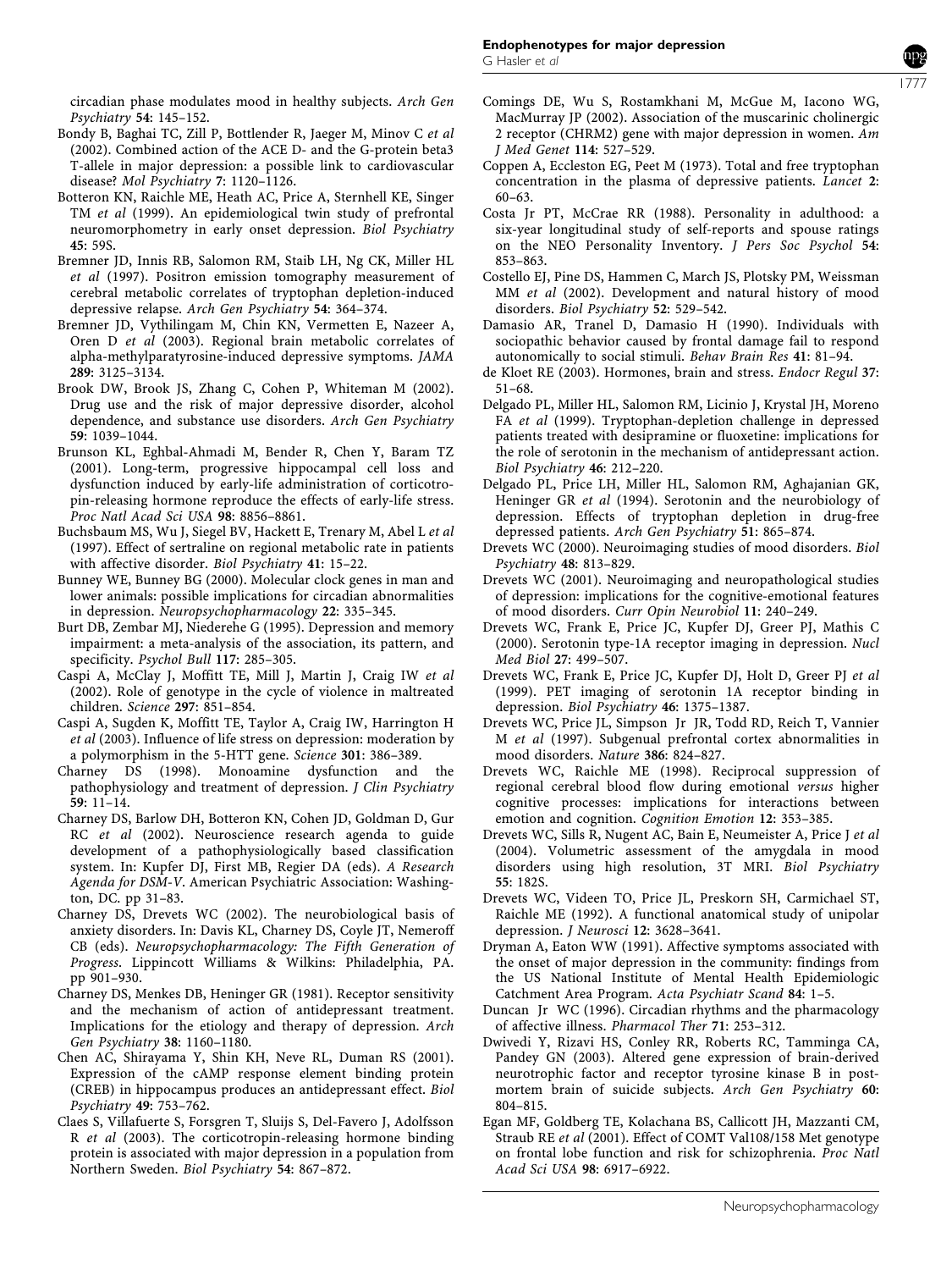circadian phase modulates mood in healthy subjects. Arch Gen Psychiatry 54: 145–152.

- Bondy B, Baghai TC, Zill P, Bottlender R, Jaeger M, Minov C et al (2002). Combined action of the ACE D- and the G-protein beta3 T-allele in major depression: a possible link to cardiovascular disease? Mol Psychiatry 7: 1120–1126.
- Botteron KN, Raichle ME, Heath AC, Price A, Sternhell KE, Singer TM et al (1999). An epidemiological twin study of prefrontal neuromorphometry in early onset depression. Biol Psychiatry 45: 59S.
- Bremner JD, Innis RB, Salomon RM, Staib LH, Ng CK, Miller HL et al (1997). Positron emission tomography measurement of cerebral metabolic correlates of tryptophan depletion-induced depressive relapse. Arch Gen Psychiatry 54: 364–374.
- Bremner JD, Vythilingam M, Chin KN, Vermetten E, Nazeer A, Oren D et al (2003). Regional brain metabolic correlates of alpha-methylparatyrosine-induced depressive symptoms. JAMA 289: 3125–3134.
- Brook DW, Brook JS, Zhang C, Cohen P, Whiteman M (2002). Drug use and the risk of major depressive disorder, alcohol dependence, and substance use disorders. Arch Gen Psychiatry 59: 1039–1044.
- Brunson KL, Eghbal-Ahmadi M, Bender R, Chen Y, Baram TZ (2001). Long-term, progressive hippocampal cell loss and dysfunction induced by early-life administration of corticotropin-releasing hormone reproduce the effects of early-life stress. Proc Natl Acad Sci USA 98: 8856–8861.
- Buchsbaum MS, Wu J, Siegel BV, Hackett E, Trenary M, Abel L et al (1997). Effect of sertraline on regional metabolic rate in patients with affective disorder. Biol Psychiatry 41: 15–22.
- Bunney WE, Bunney BG (2000). Molecular clock genes in man and lower animals: possible implications for circadian abnormalities in depression. Neuropsychopharmacology 22: 335–345.
- Burt DB, Zembar MJ, Niederehe G (1995). Depression and memory impairment: a meta-analysis of the association, its pattern, and specificity. Psychol Bull 117: 285–305.
- Caspi A, McClay J, Moffitt TE, Mill J, Martin J, Craig IW et al (2002). Role of genotype in the cycle of violence in maltreated children. Science 297: 851–854.
- Caspi A, Sugden K, Moffitt TE, Taylor A, Craig IW, Harrington H et al (2003). Influence of life stress on depression: moderation by a polymorphism in the 5-HTT gene. Science 301: 386–389.
- Charney DS (1998). Monoamine dysfunction and the pathophysiology and treatment of depression. J Clin Psychiatry 59: 11–14.
- Charney DS, Barlow DH, Botteron KN, Cohen JD, Goldman D, Gur RC et al (2002). Neuroscience research agenda to guide development of a pathophysiologically based classification system. In: Kupfer DJ, First MB, Regier DA (eds). A Research Agenda for DSM-V. American Psychiatric Association: Washington, DC. pp 31–83.
- Charney DS, Drevets WC (2002). The neurobiological basis of anxiety disorders. In: Davis KL, Charney DS, Coyle JT, Nemeroff CB (eds). Neuropsychopharmacology: The Fifth Generation of Progress. Lippincott Williams & Wilkins: Philadelphia, PA. pp 901–930.
- Charney DS, Menkes DB, Heninger GR (1981). Receptor sensitivity and the mechanism of action of antidepressant treatment. Implications for the etiology and therapy of depression. Arch Gen Psychiatry 38: 1160–1180.
- Chen AC, Shirayama Y, Shin KH, Neve RL, Duman RS (2001). Expression of the cAMP response element binding protein (CREB) in hippocampus produces an antidepressant effect. Biol Psychiatry 49: 753–762.
- Claes S, Villafuerte S, Forsgren T, Sluijs S, Del-Favero J, Adolfsson R et al (2003). The corticotropin-releasing hormone binding protein is associated with major depression in a population from Northern Sweden. Biol Psychiatry 54: 867–872.
- Comings DE, Wu S, Rostamkhani M, McGue M, Iacono WG, MacMurray JP (2002). Association of the muscarinic cholinergic 2 receptor (CHRM2) gene with major depression in women. Am J Med Genet 114: 527–529.
- Coppen A, Eccleston EG, Peet M (1973). Total and free tryptophan concentration in the plasma of depressive patients. Lancet 2: 60–63.
- Costa Jr PT, McCrae RR (1988). Personality in adulthood: a six-year longitudinal study of self-reports and spouse ratings on the NEO Personality Inventory. J Pers Soc Psychol 54: 853–863.
- Costello EJ, Pine DS, Hammen C, March JS, Plotsky PM, Weissman MM et al (2002). Development and natural history of mood disorders. Biol Psychiatry 52: 529–542.
- Damasio AR, Tranel D, Damasio H (1990). Individuals with sociopathic behavior caused by frontal damage fail to respond autonomically to social stimuli. Behav Brain Res 41: 81–94.
- de Kloet RE (2003). Hormones, brain and stress. Endocr Regul 37: 51–68.
- Delgado PL, Miller HL, Salomon RM, Licinio J, Krystal JH, Moreno FA et al (1999). Tryptophan-depletion challenge in depressed patients treated with desipramine or fluoxetine: implications for the role of serotonin in the mechanism of antidepressant action. Biol Psychiatry 46: 212–220.
- Delgado PL, Price LH, Miller HL, Salomon RM, Aghajanian GK, Heninger GR et al (1994). Serotonin and the neurobiology of depression. Effects of tryptophan depletion in drug-free depressed patients. Arch Gen Psychiatry 51: 865–874.
- Drevets WC (2000). Neuroimaging studies of mood disorders. Biol Psychiatry 48: 813–829.
- Drevets WC (2001). Neuroimaging and neuropathological studies of depression: implications for the cognitive-emotional features of mood disorders. Curr Opin Neurobiol 11: 240–249.
- Drevets WC, Frank E, Price JC, Kupfer DJ, Greer PJ, Mathis C (2000). Serotonin type-1A receptor imaging in depression. Nucl Med Biol 27: 499–507.
- Drevets WC, Frank E, Price JC, Kupfer DJ, Holt D, Greer PJ et al (1999). PET imaging of serotonin 1A receptor binding in depression. Biol Psychiatry 46: 1375–1387.
- Drevets WC, Price JL, Simpson Jr JR, Todd RD, Reich T, Vannier M et al (1997). Subgenual prefrontal cortex abnormalities in mood disorders. Nature 386: 824–827.
- Drevets WC, Raichle ME (1998). Reciprocal suppression of regional cerebral blood flow during emotional versus higher cognitive processes: implications for interactions between emotion and cognition. Cognition Emotion 12: 353–385.
- Drevets WC, Sills R, Nugent AC, Bain E, Neumeister A, Price J et al (2004). Volumetric assessment of the amygdala in mood disorders using high resolution, 3T MRI. Biol Psychiatry 55: 182S.
- Drevets WC, Videen TO, Price JL, Preskorn SH, Carmichael ST, Raichle ME (1992). A functional anatomical study of unipolar depression. J Neurosci 12: 3628–3641.
- Dryman A, Eaton WW (1991). Affective symptoms associated with the onset of major depression in the community: findings from the US National Institute of Mental Health Epidemiologic Catchment Area Program. Acta Psychiatr Scand 84: 1–5.
- Duncan Jr WC (1996). Circadian rhythms and the pharmacology of affective illness. Pharmacol Ther 71: 253–312.
- Dwivedi Y, Rizavi HS, Conley RR, Roberts RC, Tamminga CA, Pandey GN (2003). Altered gene expression of brain-derived neurotrophic factor and receptor tyrosine kinase B in postmortem brain of suicide subjects. Arch Gen Psychiatry 60: 804–815.
- Egan MF, Goldberg TE, Kolachana BS, Callicott JH, Mazzanti CM, Straub RE et al (2001). Effect of COMT Val108/158 Met genotype on frontal lobe function and risk for schizophrenia. Proc Natl Acad Sci USA 98: 6917–6922.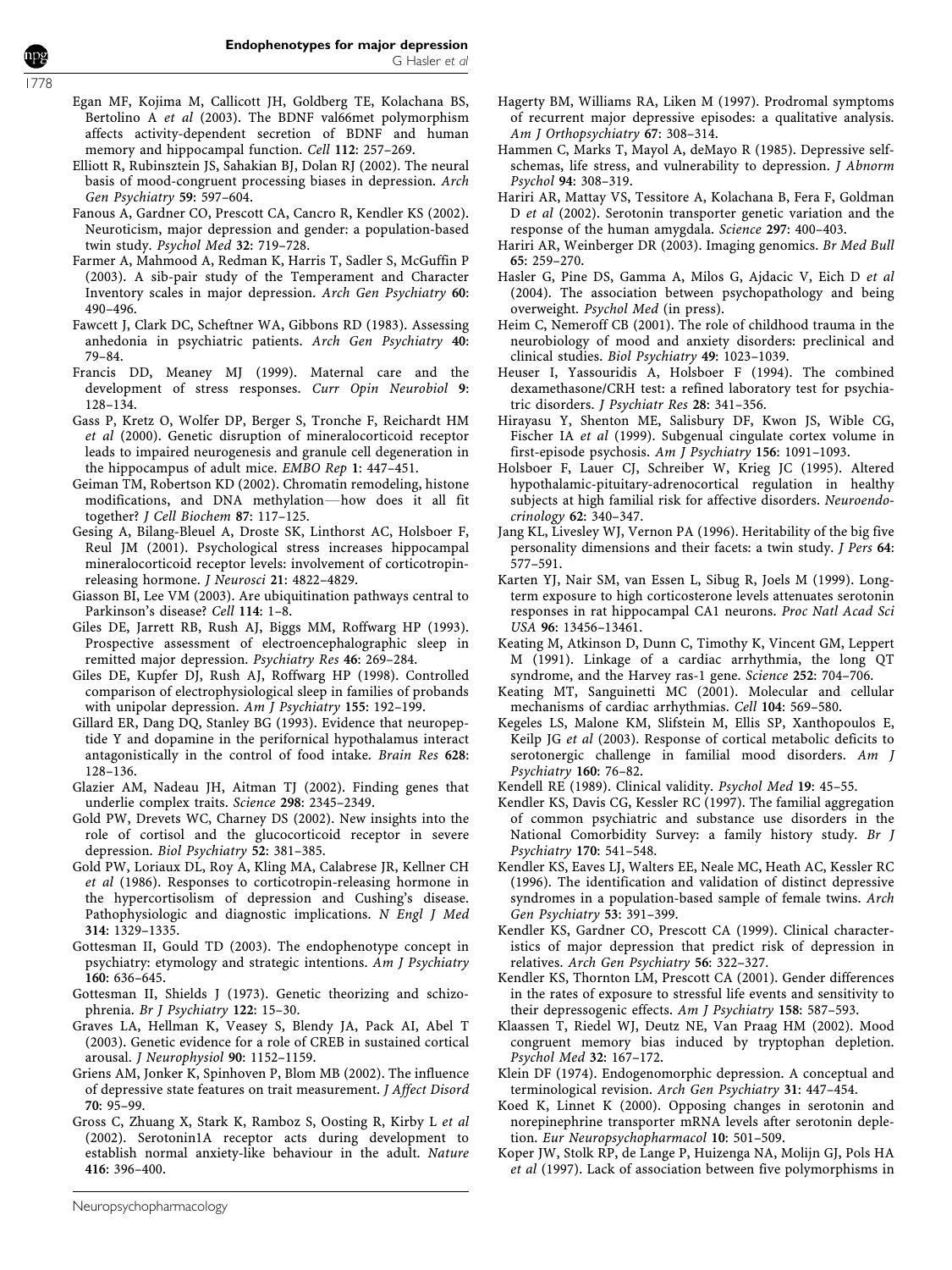- Egan MF, Kojima M, Callicott JH, Goldberg TE, Kolachana BS, Bertolino A et al (2003). The BDNF val66met polymorphism affects activity-dependent secretion of BDNF and human memory and hippocampal function. Cell 112: 257–269.
- Elliott R, Rubinsztein JS, Sahakian BJ, Dolan RJ (2002). The neural basis of mood-congruent processing biases in depression. Arch Gen Psychiatry 59: 597–604.
- Fanous A, Gardner CO, Prescott CA, Cancro R, Kendler KS (2002). Neuroticism, major depression and gender: a population-based twin study. Psychol Med 32: 719–728.
- Farmer A, Mahmood A, Redman K, Harris T, Sadler S, McGuffin P (2003). A sib-pair study of the Temperament and Character Inventory scales in major depression. Arch Gen Psychiatry 60: 490–496.
- Fawcett J, Clark DC, Scheftner WA, Gibbons RD (1983). Assessing anhedonia in psychiatric patients. Arch Gen Psychiatry 40: 79–84.
- Francis DD, Meaney MJ (1999). Maternal care and the development of stress responses. Curr Opin Neurobiol 9: 128–134.
- Gass P, Kretz O, Wolfer DP, Berger S, Tronche F, Reichardt HM et al (2000). Genetic disruption of mineralocorticoid receptor leads to impaired neurogenesis and granule cell degeneration in the hippocampus of adult mice. EMBO Rep 1: 447–451.
- Geiman TM, Robertson KD (2002). Chromatin remodeling, histone modifications, and DNA methylation-how does it all fit together? J Cell Biochem 87: 117–125.
- Gesing A, Bilang-Bleuel A, Droste SK, Linthorst AC, Holsboer F, Reul JM (2001). Psychological stress increases hippocampal mineralocorticoid receptor levels: involvement of corticotropinreleasing hormone. J Neurosci 21: 4822–4829.
- Giasson BI, Lee VM (2003). Are ubiquitination pathways central to Parkinson's disease? Cell 114: 1–8.
- Giles DE, Jarrett RB, Rush AJ, Biggs MM, Roffwarg HP (1993). Prospective assessment of electroencephalographic sleep in remitted major depression. Psychiatry Res 46: 269–284.
- Giles DE, Kupfer DJ, Rush AJ, Roffwarg HP (1998). Controlled comparison of electrophysiological sleep in families of probands with unipolar depression. Am J Psychiatry 155: 192–199.
- Gillard ER, Dang DQ, Stanley BG (1993). Evidence that neuropeptide Y and dopamine in the perifornical hypothalamus interact antagonistically in the control of food intake. Brain Res 628: 128–136.
- Glazier AM, Nadeau JH, Aitman TJ (2002). Finding genes that underlie complex traits. Science 298: 2345–2349.
- Gold PW, Drevets WC, Charney DS (2002). New insights into the role of cortisol and the glucocorticoid receptor in severe depression. Biol Psychiatry 52: 381–385.
- Gold PW, Loriaux DL, Roy A, Kling MA, Calabrese JR, Kellner CH et al (1986). Responses to corticotropin-releasing hormone in the hypercortisolism of depression and Cushing's disease. Pathophysiologic and diagnostic implications. N Engl J Med 314: 1329–1335.
- Gottesman II, Gould TD (2003). The endophenotype concept in psychiatry: etymology and strategic intentions. Am J Psychiatry 160: 636–645.
- Gottesman II, Shields J (1973). Genetic theorizing and schizophrenia. Br J Psychiatry 122: 15–30.
- Graves LA, Hellman K, Veasey S, Blendy JA, Pack AI, Abel T (2003). Genetic evidence for a role of CREB in sustained cortical arousal. J Neurophysiol 90: 1152–1159.
- Griens AM, Jonker K, Spinhoven P, Blom MB (2002). The influence of depressive state features on trait measurement. J Affect Disord 70: 95–99.
- Gross C, Zhuang X, Stark K, Ramboz S, Oosting R, Kirby L et al (2002). Serotonin1A receptor acts during development to establish normal anxiety-like behaviour in the adult. Nature 416: 396–400.
- Hagerty BM, Williams RA, Liken M (1997). Prodromal symptoms of recurrent major depressive episodes: a qualitative analysis. Am J Orthopsychiatry 67: 308–314.
- Hammen C, Marks T, Mayol A, deMayo R (1985). Depressive selfschemas, life stress, and vulnerability to depression. J Abnorm Psychol 94: 308–319.
- Hariri AR, Mattay VS, Tessitore A, Kolachana B, Fera F, Goldman D et al (2002). Serotonin transporter genetic variation and the response of the human amygdala. Science 297: 400–403.
- Hariri AR, Weinberger DR (2003). Imaging genomics. Br Med Bull 65: 259–270.
- Hasler G, Pine DS, Gamma A, Milos G, Ajdacic V, Eich D et al (2004). The association between psychopathology and being overweight. Psychol Med (in press).
- Heim C, Nemeroff CB (2001). The role of childhood trauma in the neurobiology of mood and anxiety disorders: preclinical and clinical studies. Biol Psychiatry 49: 1023–1039.
- Heuser I, Yassouridis A, Holsboer F (1994). The combined dexamethasone/CRH test: a refined laboratory test for psychiatric disorders. J Psychiatr Res 28: 341–356.
- Hirayasu Y, Shenton ME, Salisbury DF, Kwon JS, Wible CG, Fischer IA et al (1999). Subgenual cingulate cortex volume in first-episode psychosis. Am J Psychiatry 156: 1091-1093.
- Holsboer F, Lauer CJ, Schreiber W, Krieg JC (1995). Altered hypothalamic-pituitary-adrenocortical regulation in healthy subjects at high familial risk for affective disorders. Neuroendocrinology 62: 340–347.
- Jang KL, Livesley WJ, Vernon PA (1996). Heritability of the big five personality dimensions and their facets: a twin study. J Pers 64: 577–591.
- Karten YJ, Nair SM, van Essen L, Sibug R, Joels M (1999). Longterm exposure to high corticosterone levels attenuates serotonin responses in rat hippocampal CA1 neurons. Proc Natl Acad Sci USA 96: 13456–13461.
- Keating M, Atkinson D, Dunn C, Timothy K, Vincent GM, Leppert M (1991). Linkage of a cardiac arrhythmia, the long QT syndrome, and the Harvey ras-1 gene. Science 252: 704–706.
- Keating MT, Sanguinetti MC (2001). Molecular and cellular mechanisms of cardiac arrhythmias. Cell 104: 569–580.
- Kegeles LS, Malone KM, Slifstein M, Ellis SP, Xanthopoulos E, Keilp JG et al (2003). Response of cortical metabolic deficits to serotonergic challenge in familial mood disorders. Am J Psychiatry 160: 76–82.
- Kendell RE (1989). Clinical validity. Psychol Med 19: 45–55.
- Kendler KS, Davis CG, Kessler RC (1997). The familial aggregation of common psychiatric and substance use disorders in the National Comorbidity Survey: a family history study. Br J Psychiatry 170: 541–548.
- Kendler KS, Eaves LJ, Walters EE, Neale MC, Heath AC, Kessler RC (1996). The identification and validation of distinct depressive syndromes in a population-based sample of female twins. Arch Gen Psychiatry 53: 391–399.
- Kendler KS, Gardner CO, Prescott CA (1999). Clinical characteristics of major depression that predict risk of depression in relatives. Arch Gen Psychiatry 56: 322–327.
- Kendler KS, Thornton LM, Prescott CA (2001). Gender differences in the rates of exposure to stressful life events and sensitivity to their depressogenic effects. Am J Psychiatry 158: 587-593.
- Klaassen T, Riedel WJ, Deutz NE, Van Praag HM (2002). Mood congruent memory bias induced by tryptophan depletion. Psychol Med 32: 167–172.
- Klein DF (1974). Endogenomorphic depression. A conceptual and terminological revision. Arch Gen Psychiatry 31: 447–454.
- Koed K, Linnet K (2000). Opposing changes in serotonin and norepinephrine transporter mRNA levels after serotonin depletion. Eur Neuropsychopharmacol 10: 501–509.
- Koper JW, Stolk RP, de Lange P, Huizenga NA, Molijn GJ, Pols HA et al (1997). Lack of association between five polymorphisms in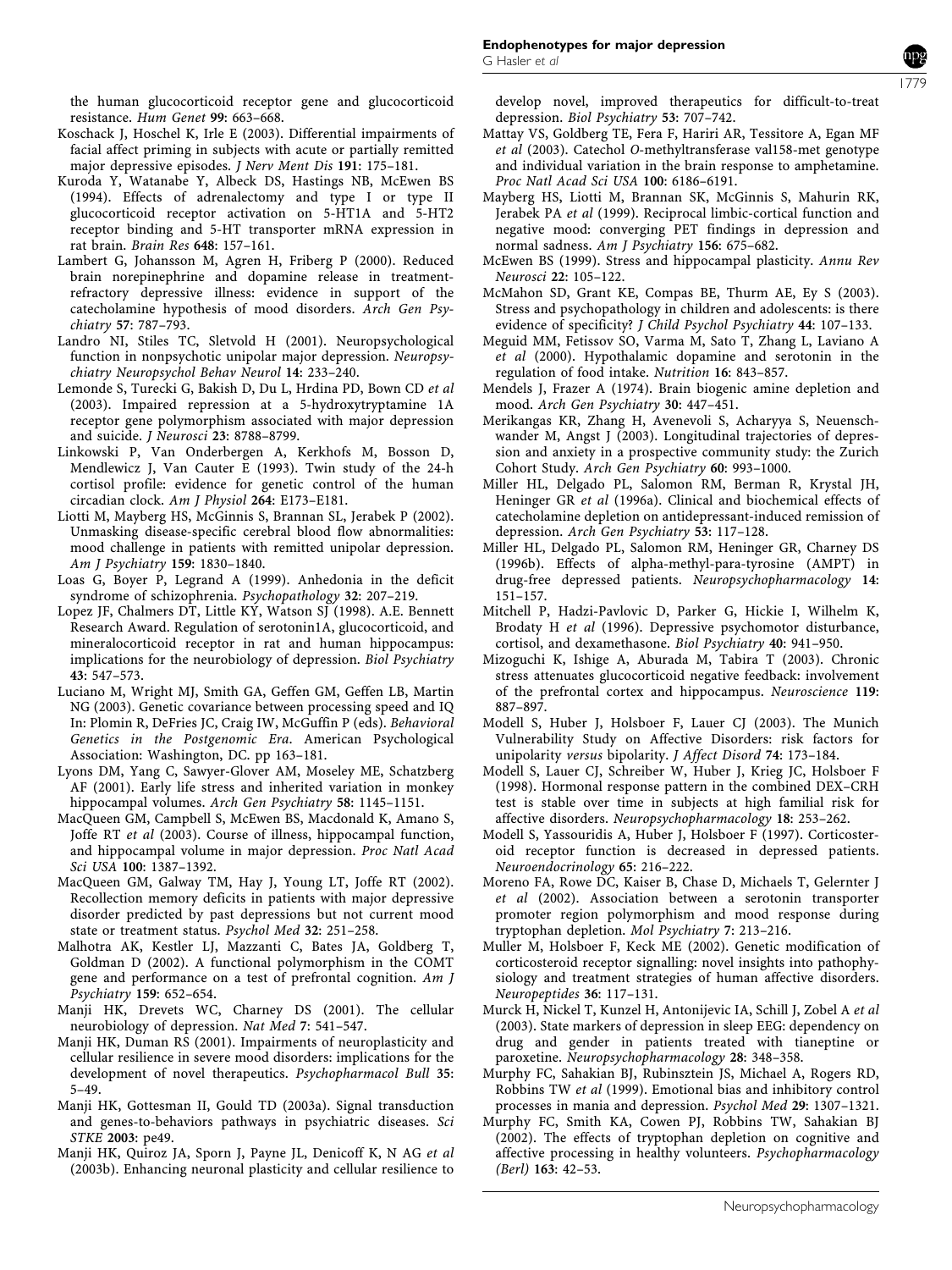the human glucocorticoid receptor gene and glucocorticoid resistance. Hum Genet 99: 663–668.

- Koschack J, Hoschel K, Irle E (2003). Differential impairments of facial affect priming in subjects with acute or partially remitted major depressive episodes. J Nerv Ment Dis 191: 175–181.
- Kuroda Y, Watanabe Y, Albeck DS, Hastings NB, McEwen BS (1994). Effects of adrenalectomy and type I or type II glucocorticoid receptor activation on 5-HT1A and 5-HT2 receptor binding and 5-HT transporter mRNA expression in rat brain. Brain Res 648: 157–161.
- Lambert G, Johansson M, Agren H, Friberg P (2000). Reduced brain norepinephrine and dopamine release in treatmentrefractory depressive illness: evidence in support of the catecholamine hypothesis of mood disorders. Arch Gen Psychiatry 57: 787–793.
- Landro NI, Stiles TC, Sletvold H (2001). Neuropsychological function in nonpsychotic unipolar major depression. Neuropsychiatry Neuropsychol Behav Neurol 14: 233–240.
- Lemonde S, Turecki G, Bakish D, Du L, Hrdina PD, Bown CD et al (2003). Impaired repression at a 5-hydroxytryptamine 1A receptor gene polymorphism associated with major depression and suicide. J Neurosci 23: 8788–8799.
- Linkowski P, Van Onderbergen A, Kerkhofs M, Bosson D, Mendlewicz J, Van Cauter E (1993). Twin study of the 24-h cortisol profile: evidence for genetic control of the human circadian clock. Am J Physiol 264: E173–E181.
- Liotti M, Mayberg HS, McGinnis S, Brannan SL, Jerabek P (2002). Unmasking disease-specific cerebral blood flow abnormalities: mood challenge in patients with remitted unipolar depression. Am J Psychiatry 159: 1830–1840.
- Loas G, Boyer P, Legrand A (1999). Anhedonia in the deficit syndrome of schizophrenia. Psychopathology 32: 207–219.
- Lopez JF, Chalmers DT, Little KY, Watson SJ (1998). A.E. Bennett Research Award. Regulation of serotonin1A, glucocorticoid, and mineralocorticoid receptor in rat and human hippocampus: implications for the neurobiology of depression. Biol Psychiatry 43: 547–573.
- Luciano M, Wright MJ, Smith GA, Geffen GM, Geffen LB, Martin NG (2003). Genetic covariance between processing speed and IQ In: Plomin R, DeFries JC, Craig IW, McGuffin P (eds). Behavioral Genetics in the Postgenomic Era. American Psychological Association: Washington, DC. pp 163–181.
- Lyons DM, Yang C, Sawyer-Glover AM, Moseley ME, Schatzberg AF (2001). Early life stress and inherited variation in monkey hippocampal volumes. Arch Gen Psychiatry 58: 1145–1151.
- MacQueen GM, Campbell S, McEwen BS, Macdonald K, Amano S, Joffe RT et al (2003). Course of illness, hippocampal function, and hippocampal volume in major depression. Proc Natl Acad Sci USA 100: 1387–1392.
- MacQueen GM, Galway TM, Hay J, Young LT, Joffe RT (2002). Recollection memory deficits in patients with major depressive disorder predicted by past depressions but not current mood state or treatment status. Psychol Med 32: 251–258.
- Malhotra AK, Kestler LJ, Mazzanti C, Bates JA, Goldberg T, Goldman D (2002). A functional polymorphism in the COMT gene and performance on a test of prefrontal cognition. Am J Psychiatry 159: 652–654.
- Manji HK, Drevets WC, Charney DS (2001). The cellular neurobiology of depression. Nat Med 7: 541–547.
- Manji HK, Duman RS (2001). Impairments of neuroplasticity and cellular resilience in severe mood disorders: implications for the development of novel therapeutics. Psychopharmacol Bull 35: 5–49.
- Manji HK, Gottesman II, Gould TD (2003a). Signal transduction and genes-to-behaviors pathways in psychiatric diseases. Sci STKE 2003: pe49.
- Manji HK, Quiroz JA, Sporn J, Payne JL, Denicoff K, N AG et al (2003b). Enhancing neuronal plasticity and cellular resilience to

develop novel, improved therapeutics for difficult-to-treat depression. Biol Psychiatry 53: 707–742.

- Mattay VS, Goldberg TE, Fera F, Hariri AR, Tessitore A, Egan MF et al (2003). Catechol O-methyltransferase val158-met genotype and individual variation in the brain response to amphetamine. Proc Natl Acad Sci USA 100: 6186–6191.
- Mayberg HS, Liotti M, Brannan SK, McGinnis S, Mahurin RK, Jerabek PA et al (1999). Reciprocal limbic-cortical function and negative mood: converging PET findings in depression and normal sadness. Am J Psychiatry 156: 675–682.
- McEwen BS (1999). Stress and hippocampal plasticity. Annu Rev Neurosci 22: 105–122.
- McMahon SD, Grant KE, Compas BE, Thurm AE, Ey S (2003). Stress and psychopathology in children and adolescents: is there evidence of specificity? J Child Psychol Psychiatry 44: 107–133.
- Meguid MM, Fetissov SO, Varma M, Sato T, Zhang L, Laviano A et al (2000). Hypothalamic dopamine and serotonin in the regulation of food intake. Nutrition 16: 843–857.
- Mendels J, Frazer A (1974). Brain biogenic amine depletion and mood. Arch Gen Psychiatry 30: 447–451.
- Merikangas KR, Zhang H, Avenevoli S, Acharyya S, Neuenschwander M, Angst J (2003). Longitudinal trajectories of depression and anxiety in a prospective community study: the Zurich Cohort Study. Arch Gen Psychiatry 60: 993–1000.
- Miller HL, Delgado PL, Salomon RM, Berman R, Krystal JH, Heninger GR et al (1996a). Clinical and biochemical effects of catecholamine depletion on antidepressant-induced remission of depression. Arch Gen Psychiatry 53: 117–128.
- Miller HL, Delgado PL, Salomon RM, Heninger GR, Charney DS (1996b). Effects of alpha-methyl-para-tyrosine (AMPT) in drug-free depressed patients. Neuropsychopharmacology 14: 151–157.
- Mitchell P, Hadzi-Pavlovic D, Parker G, Hickie I, Wilhelm K, Brodaty H et al (1996). Depressive psychomotor disturbance, cortisol, and dexamethasone. Biol Psychiatry 40: 941–950.
- Mizoguchi K, Ishige A, Aburada M, Tabira T (2003). Chronic stress attenuates glucocorticoid negative feedback: involvement of the prefrontal cortex and hippocampus. Neuroscience 119: 887–897.
- Modell S, Huber J, Holsboer F, Lauer CJ (2003). The Munich Vulnerability Study on Affective Disorders: risk factors for unipolarity versus bipolarity. J Affect Disord 74: 173–184.
- Modell S, Lauer CJ, Schreiber W, Huber J, Krieg JC, Holsboer F (1998). Hormonal response pattern in the combined DEX–CRH test is stable over time in subjects at high familial risk for affective disorders. Neuropsychopharmacology 18: 253–262.
- Modell S, Yassouridis A, Huber J, Holsboer F (1997). Corticosteroid receptor function is decreased in depressed patients. Neuroendocrinology 65: 216–222.
- Moreno FA, Rowe DC, Kaiser B, Chase D, Michaels T, Gelernter J et al (2002). Association between a serotonin transporter promoter region polymorphism and mood response during tryptophan depletion. Mol Psychiatry 7: 213–216.
- Muller M, Holsboer F, Keck ME (2002). Genetic modification of corticosteroid receptor signalling: novel insights into pathophysiology and treatment strategies of human affective disorders. Neuropeptides 36: 117–131.
- Murck H, Nickel T, Kunzel H, Antonijevic IA, Schill J, Zobel A et al (2003). State markers of depression in sleep EEG: dependency on drug and gender in patients treated with tianeptine or paroxetine. Neuropsychopharmacology 28: 348–358.
- Murphy FC, Sahakian BJ, Rubinsztein JS, Michael A, Rogers RD, Robbins TW et al (1999). Emotional bias and inhibitory control processes in mania and depression. Psychol Med 29: 1307–1321.
- Murphy FC, Smith KA, Cowen PJ, Robbins TW, Sahakian BJ (2002). The effects of tryptophan depletion on cognitive and affective processing in healthy volunteers. Psychopharmacology (Berl) 163: 42–53.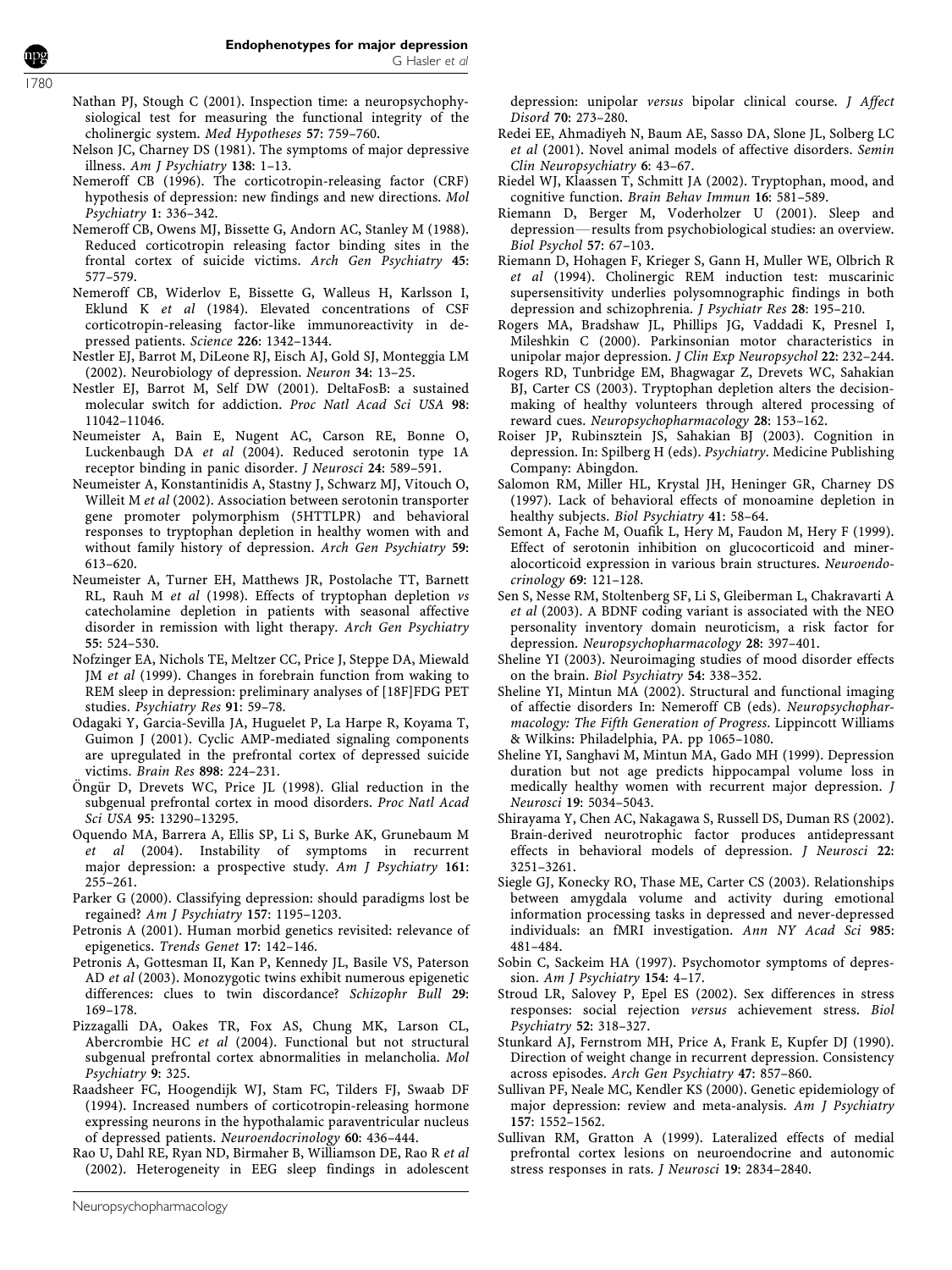- Nathan PJ, Stough C (2001). Inspection time: a neuropsychophysiological test for measuring the functional integrity of the cholinergic system. Med Hypotheses 57: 759–760.
- Nelson JC, Charney DS (1981). The symptoms of major depressive illness. Am J Psychiatry 138: 1–13.
- Nemeroff CB (1996). The corticotropin-releasing factor (CRF) hypothesis of depression: new findings and new directions. Mol Psychiatry 1: 336–342.
- Nemeroff CB, Owens MJ, Bissette G, Andorn AC, Stanley M (1988). Reduced corticotropin releasing factor binding sites in the frontal cortex of suicide victims. Arch Gen Psychiatry 45: 577–579.
- Nemeroff CB, Widerlov E, Bissette G, Walleus H, Karlsson I, Eklund K et al (1984). Elevated concentrations of CSF corticotropin-releasing factor-like immunoreactivity in depressed patients. Science 226: 1342–1344.
- Nestler EJ, Barrot M, DiLeone RJ, Eisch AJ, Gold SJ, Monteggia LM (2002). Neurobiology of depression. Neuron 34: 13–25.
- Nestler EJ, Barrot M, Self DW (2001). DeltaFosB: a sustained molecular switch for addiction. Proc Natl Acad Sci USA 98: 11042–11046.
- Neumeister A, Bain E, Nugent AC, Carson RE, Bonne O, Luckenbaugh DA et al (2004). Reduced serotonin type 1A receptor binding in panic disorder. J Neurosci 24: 589–591.
- Neumeister A, Konstantinidis A, Stastny J, Schwarz MJ, Vitouch O, Willeit M et al (2002). Association between serotonin transporter gene promoter polymorphism (5HTTLPR) and behavioral responses to tryptophan depletion in healthy women with and without family history of depression. Arch Gen Psychiatry 59: 613–620.
- Neumeister A, Turner EH, Matthews JR, Postolache TT, Barnett RL, Rauh M et al (1998). Effects of tryptophan depletion vs catecholamine depletion in patients with seasonal affective disorder in remission with light therapy. Arch Gen Psychiatry 55: 524–530.
- Nofzinger EA, Nichols TE, Meltzer CC, Price J, Steppe DA, Miewald JM et al (1999). Changes in forebrain function from waking to REM sleep in depression: preliminary analyses of [18F]FDG PET studies. Psychiatry Res 91: 59–78.
- Odagaki Y, Garcia-Sevilla JA, Huguelet P, La Harpe R, Koyama T, Guimon J (2001). Cyclic AMP-mediated signaling components are upregulated in the prefrontal cortex of depressed suicide victims. Brain Res 898: 224–231.
- Öngür D, Drevets WC, Price JL (1998). Glial reduction in the subgenual prefrontal cortex in mood disorders. Proc Natl Acad Sci USA 95: 13290–13295.
- Oquendo MA, Barrera A, Ellis SP, Li S, Burke AK, Grunebaum M et al (2004). Instability of symptoms in recurrent major depression: a prospective study. Am J Psychiatry 161: 255–261.
- Parker G (2000). Classifying depression: should paradigms lost be regained? Am J Psychiatry 157: 1195–1203.
- Petronis A (2001). Human morbid genetics revisited: relevance of epigenetics. Trends Genet 17: 142–146.
- Petronis A, Gottesman II, Kan P, Kennedy JL, Basile VS, Paterson AD et al (2003). Monozygotic twins exhibit numerous epigenetic differences: clues to twin discordance? Schizophr Bull 29: 169–178.
- Pizzagalli DA, Oakes TR, Fox AS, Chung MK, Larson CL, Abercrombie HC et al (2004). Functional but not structural subgenual prefrontal cortex abnormalities in melancholia. Mol Psychiatry 9: 325.
- Raadsheer FC, Hoogendijk WJ, Stam FC, Tilders FJ, Swaab DF (1994). Increased numbers of corticotropin-releasing hormone expressing neurons in the hypothalamic paraventricular nucleus of depressed patients. Neuroendocrinology 60: 436–444.

Rao U, Dahl RE, Ryan ND, Birmaher B, Williamson DE, Rao R et al (2002). Heterogeneity in EEG sleep findings in adolescent

depression: unipolar versus bipolar clinical course. J Affect Disord 70: 273–280.

- Redei EE, Ahmadiyeh N, Baum AE, Sasso DA, Slone JL, Solberg LC et al (2001). Novel animal models of affective disorders. Semin Clin Neuropsychiatry 6: 43–67.
- Riedel WJ, Klaassen T, Schmitt JA (2002). Tryptophan, mood, and cognitive function. Brain Behav Immun 16: 581–589.
- Riemann D, Berger M, Voderholzer U (2001). Sleep and depression-results from psychobiological studies: an overview. Biol Psychol 57: 67–103.
- Riemann D, Hohagen F, Krieger S, Gann H, Muller WE, Olbrich R et al (1994). Cholinergic REM induction test: muscarinic supersensitivity underlies polysomnographic findings in both depression and schizophrenia. J Psychiatr Res 28: 195–210.
- Rogers MA, Bradshaw JL, Phillips JG, Vaddadi K, Presnel I, Mileshkin C (2000). Parkinsonian motor characteristics in unipolar major depression. J Clin Exp Neuropsychol 22: 232–244.
- Rogers RD, Tunbridge EM, Bhagwagar Z, Drevets WC, Sahakian BJ, Carter CS (2003). Tryptophan depletion alters the decisionmaking of healthy volunteers through altered processing of reward cues. Neuropsychopharmacology 28: 153–162.
- Roiser JP, Rubinsztein JS, Sahakian BJ (2003). Cognition in depression. In: Spilberg H (eds). Psychiatry. Medicine Publishing Company: Abingdon.
- Salomon RM, Miller HL, Krystal JH, Heninger GR, Charney DS (1997). Lack of behavioral effects of monoamine depletion in healthy subjects. Biol Psychiatry 41: 58–64.
- Semont A, Fache M, Ouafik L, Hery M, Faudon M, Hery F (1999). Effect of serotonin inhibition on glucocorticoid and mineralocorticoid expression in various brain structures. Neuroendocrinology 69: 121–128.
- Sen S, Nesse RM, Stoltenberg SF, Li S, Gleiberman L, Chakravarti A et al (2003). A BDNF coding variant is associated with the NEO personality inventory domain neuroticism, a risk factor for depression. Neuropsychopharmacology 28: 397–401.
- Sheline YI (2003). Neuroimaging studies of mood disorder effects on the brain. Biol Psychiatry 54: 338–352.
- Sheline YI, Mintun MA (2002). Structural and functional imaging of affectie disorders In: Nemeroff CB (eds). Neuropsychopharmacology: The Fifth Generation of Progress. Lippincott Williams & Wilkins: Philadelphia, PA. pp 1065–1080.
- Sheline YI, Sanghavi M, Mintun MA, Gado MH (1999). Depression duration but not age predicts hippocampal volume loss in medically healthy women with recurrent major depression. J Neurosci 19: 5034–5043.
- Shirayama Y, Chen AC, Nakagawa S, Russell DS, Duman RS (2002). Brain-derived neurotrophic factor produces antidepressant effects in behavioral models of depression. J Neurosci 22: 3251–3261.
- Siegle GJ, Konecky RO, Thase ME, Carter CS (2003). Relationships between amygdala volume and activity during emotional information processing tasks in depressed and never-depressed individuals: an fMRI investigation. Ann NY Acad Sci 985: 481–484.
- Sobin C, Sackeim HA (1997). Psychomotor symptoms of depression. Am J Psychiatry 154: 4-17.
- Stroud LR, Salovey P, Epel ES (2002). Sex differences in stress responses: social rejection versus achievement stress. Biol Psychiatry 52: 318–327.
- Stunkard AJ, Fernstrom MH, Price A, Frank E, Kupfer DJ (1990). Direction of weight change in recurrent depression. Consistency across episodes. Arch Gen Psychiatry 47: 857–860.
- Sullivan PF, Neale MC, Kendler KS (2000). Genetic epidemiology of major depression: review and meta-analysis. Am J Psychiatry 157: 1552–1562.
- Sullivan RM, Gratton A (1999). Lateralized effects of medial prefrontal cortex lesions on neuroendocrine and autonomic stress responses in rats. J Neurosci 19: 2834–2840.